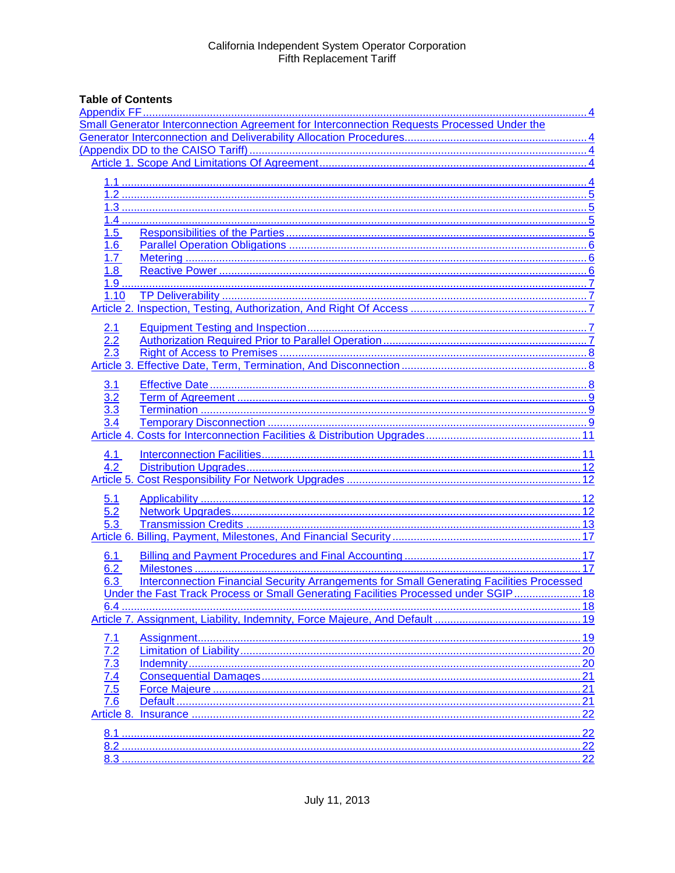## **Table of Contents**

|                                        | Small Generator Interconnection Agreement for Interconnection Requests Processed Under the       |  |
|----------------------------------------|--------------------------------------------------------------------------------------------------|--|
|                                        |                                                                                                  |  |
|                                        |                                                                                                  |  |
|                                        |                                                                                                  |  |
|                                        |                                                                                                  |  |
|                                        |                                                                                                  |  |
|                                        |                                                                                                  |  |
|                                        |                                                                                                  |  |
| 1.5                                    |                                                                                                  |  |
| 1.6                                    |                                                                                                  |  |
| 1.7                                    |                                                                                                  |  |
| 1.8                                    |                                                                                                  |  |
|                                        |                                                                                                  |  |
| 1.10                                   |                                                                                                  |  |
|                                        |                                                                                                  |  |
|                                        |                                                                                                  |  |
| 2.1                                    |                                                                                                  |  |
| $\overline{2.2}$                       |                                                                                                  |  |
|                                        |                                                                                                  |  |
|                                        |                                                                                                  |  |
| <u>3.1</u>                             |                                                                                                  |  |
| 3.2                                    |                                                                                                  |  |
| $\overline{3.3}$                       |                                                                                                  |  |
| 3.4                                    |                                                                                                  |  |
|                                        |                                                                                                  |  |
|                                        |                                                                                                  |  |
| 4.1                                    |                                                                                                  |  |
| 4.2                                    |                                                                                                  |  |
|                                        |                                                                                                  |  |
| 5.1                                    |                                                                                                  |  |
| 5.2                                    |                                                                                                  |  |
| 5.3                                    |                                                                                                  |  |
|                                        |                                                                                                  |  |
|                                        |                                                                                                  |  |
| <u>6.1</u><br>6.2                      |                                                                                                  |  |
| 6.3                                    | <b>Interconnection Financial Security Arrangements for Small Generating Facilities Processed</b> |  |
|                                        | Under the Fast Track Process or Small Generating Facilities Processed under SGIP 18              |  |
|                                        |                                                                                                  |  |
|                                        |                                                                                                  |  |
|                                        |                                                                                                  |  |
| 7.1                                    |                                                                                                  |  |
|                                        |                                                                                                  |  |
|                                        |                                                                                                  |  |
|                                        |                                                                                                  |  |
| $\frac{7.4}{7.5}$<br>$\frac{7.5}{7.6}$ |                                                                                                  |  |
|                                        |                                                                                                  |  |
| Article 8.                             |                                                                                                  |  |
|                                        |                                                                                                  |  |
|                                        |                                                                                                  |  |
|                                        |                                                                                                  |  |
|                                        |                                                                                                  |  |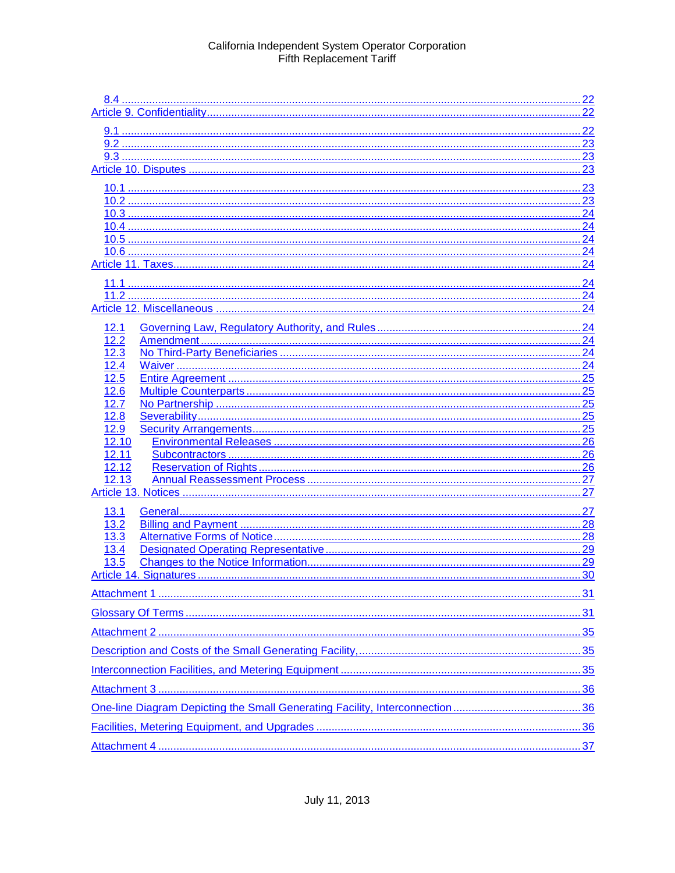|       | 24  |
|-------|-----|
|       | 24  |
|       | 24  |
|       | 24  |
|       |     |
|       |     |
|       |     |
| 12.1  |     |
| 12.2  |     |
| 12.3  |     |
| 12.4  |     |
| 12.5  |     |
| 12.6  |     |
| 12.7  |     |
| 12.8  |     |
| 12.9  |     |
| 12.10 |     |
| 12.11 |     |
| 12.12 |     |
| 12.13 | .27 |
|       |     |
| 13.1  |     |
| 13.2  |     |
| 13.3  |     |
| 13.4  |     |
| 13.5  |     |
|       |     |
|       |     |
|       |     |
|       |     |
|       |     |
|       |     |
|       |     |
|       |     |
|       |     |
|       |     |
|       |     |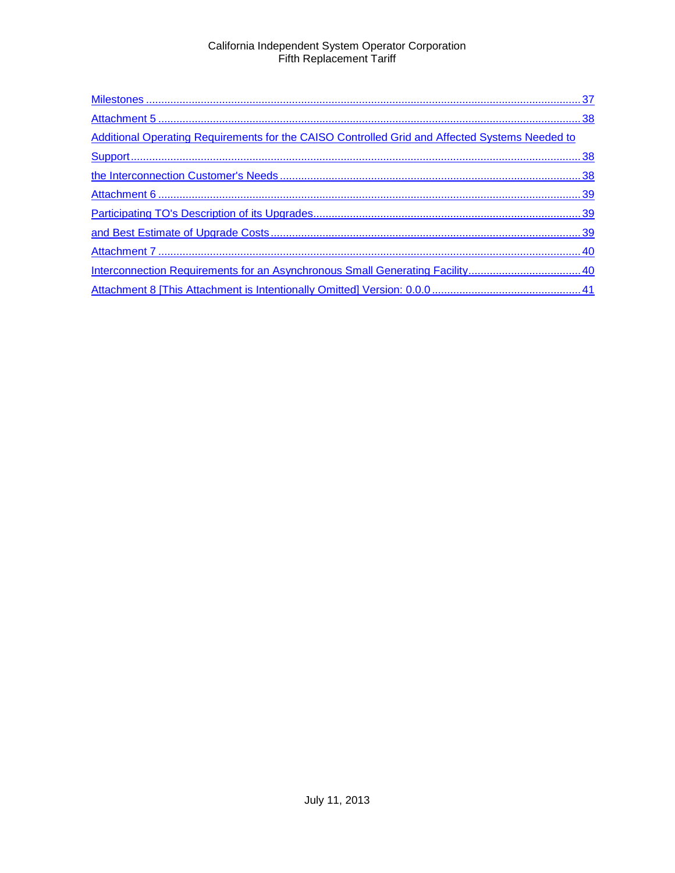| Additional Operating Requirements for the CAISO Controlled Grid and Affected Systems Needed to |  |
|------------------------------------------------------------------------------------------------|--|
|                                                                                                |  |
|                                                                                                |  |
|                                                                                                |  |
|                                                                                                |  |
|                                                                                                |  |
|                                                                                                |  |
|                                                                                                |  |
|                                                                                                |  |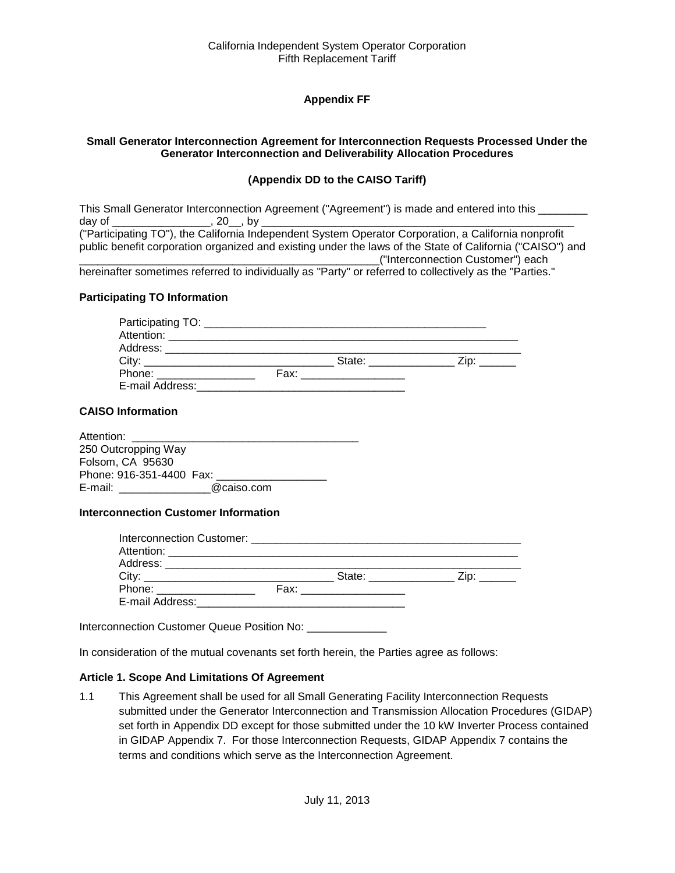## **Appendix FF**

#### <span id="page-3-2"></span><span id="page-3-1"></span><span id="page-3-0"></span>**Small Generator Interconnection Agreement for Interconnection Requests Processed Under the Generator Interconnection and Deliverability Allocation Procedures**

#### **(Appendix DD to the CAISO Tariff)**

|                                                     | This Small Generator Interconnection Agreement ("Agreement") is made and entered into this                |
|-----------------------------------------------------|-----------------------------------------------------------------------------------------------------------|
| day of _________________________________, 20___, by |                                                                                                           |
|                                                     | ("Participating TO"), the California Independent System Operator Corporation, a California nonprofit      |
|                                                     | public benefit corporation organized and existing under the laws of the State of California ("CAISO") and |
|                                                     | ("Interconnection Customer") each                                                                         |
|                                                     | becoing the comptimes referred to individually as "Darty" or referred to collectively as the "Darties "   |

#### hereinafter sometimes referred to individually as "Party" or referred to collectively as the "Parties."

#### **Participating TO Information**

| Attention: __________________                                                                                                                                                                                                  |      |                |                       |  |
|--------------------------------------------------------------------------------------------------------------------------------------------------------------------------------------------------------------------------------|------|----------------|-----------------------|--|
| Address: ______________________                                                                                                                                                                                                |      |                |                       |  |
| City:                                                                                                                                                                                                                          |      | State: _______ | $\angle$ ip: ________ |  |
| Phone: the contract of the contract of the contract of the contract of the contract of the contract of the contract of the contract of the contract of the contract of the contract of the contract of the contract of the con | Fax: |                |                       |  |
| E-mail Address:                                                                                                                                                                                                                |      |                |                       |  |

#### **CAISO Information**

| Attention:               |            |  |
|--------------------------|------------|--|
| 250 Outcropping Way      |            |  |
| Folsom, CA 95630         |            |  |
| Phone: 916-351-4400 Fax: |            |  |
| E-mail:                  | @caiso.com |  |

#### **Interconnection Customer Information**

| City:                     | State: _____________                                                                                                                                                                                                          | $\mathsf{Zip:}$ |
|---------------------------|-------------------------------------------------------------------------------------------------------------------------------------------------------------------------------------------------------------------------------|-----------------|
| Phone: __________________ | Fax: ___________________                                                                                                                                                                                                      |                 |
| E-mail Address:           | the control of the control of the control of the control of the control of the control of the control of the control of the control of the control of the control of the control of the control of the control of the control |                 |

Interconnection Customer Queue Position No: \_\_\_\_\_\_\_\_\_\_\_\_\_\_\_

In consideration of the mutual covenants set forth herein, the Parties agree as follows:

#### <span id="page-3-3"></span>**Article 1. Scope And Limitations Of Agreement**

<span id="page-3-4"></span>1.1 This Agreement shall be used for all Small Generating Facility Interconnection Requests submitted under the Generator Interconnection and Transmission Allocation Procedures (GIDAP) set forth in Appendix DD except for those submitted under the 10 kW Inverter Process contained in GIDAP Appendix 7. For those Interconnection Requests, GIDAP Appendix 7 contains the terms and conditions which serve as the Interconnection Agreement.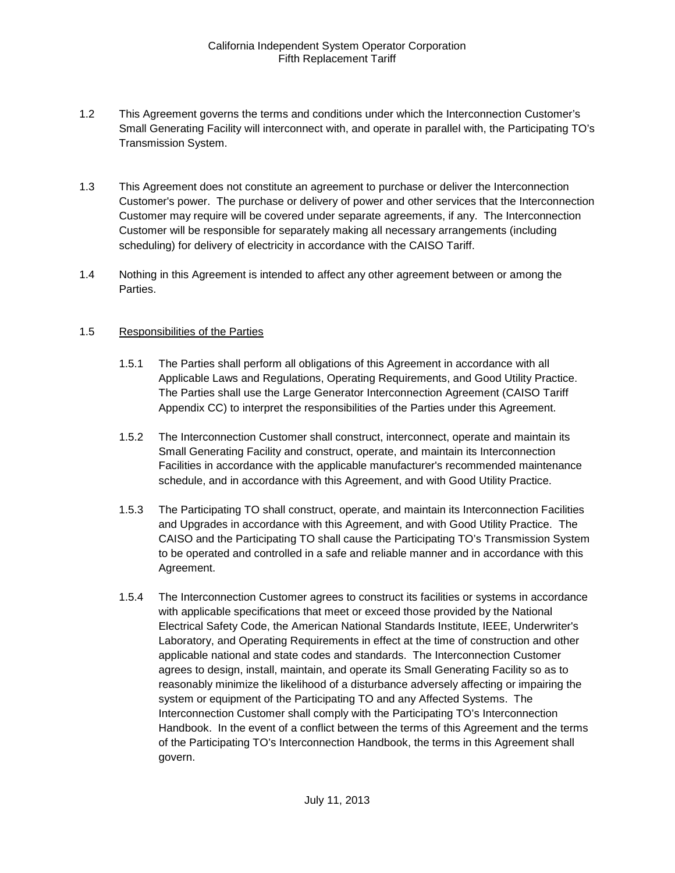- <span id="page-4-0"></span>1.2 This Agreement governs the terms and conditions under which the Interconnection Customer's Small Generating Facility will interconnect with, and operate in parallel with, the Participating TO's Transmission System.
- <span id="page-4-1"></span>1.3 This Agreement does not constitute an agreement to purchase or deliver the Interconnection Customer's power. The purchase or delivery of power and other services that the Interconnection Customer may require will be covered under separate agreements, if any. The Interconnection Customer will be responsible for separately making all necessary arrangements (including scheduling) for delivery of electricity in accordance with the CAISO Tariff.
- <span id="page-4-2"></span>1.4 Nothing in this Agreement is intended to affect any other agreement between or among the Parties.

#### <span id="page-4-3"></span>1.5 Responsibilities of the Parties

- 1.5.1 The Parties shall perform all obligations of this Agreement in accordance with all Applicable Laws and Regulations, Operating Requirements, and Good Utility Practice. The Parties shall use the Large Generator Interconnection Agreement (CAISO Tariff Appendix CC) to interpret the responsibilities of the Parties under this Agreement.
- 1.5.2 The Interconnection Customer shall construct, interconnect, operate and maintain its Small Generating Facility and construct, operate, and maintain its Interconnection Facilities in accordance with the applicable manufacturer's recommended maintenance schedule, and in accordance with this Agreement, and with Good Utility Practice.
- 1.5.3 The Participating TO shall construct, operate, and maintain its Interconnection Facilities and Upgrades in accordance with this Agreement, and with Good Utility Practice. The CAISO and the Participating TO shall cause the Participating TO's Transmission System to be operated and controlled in a safe and reliable manner and in accordance with this Agreement.
- 1.5.4 The Interconnection Customer agrees to construct its facilities or systems in accordance with applicable specifications that meet or exceed those provided by the National Electrical Safety Code, the American National Standards Institute, IEEE, Underwriter's Laboratory, and Operating Requirements in effect at the time of construction and other applicable national and state codes and standards. The Interconnection Customer agrees to design, install, maintain, and operate its Small Generating Facility so as to reasonably minimize the likelihood of a disturbance adversely affecting or impairing the system or equipment of the Participating TO and any Affected Systems. The Interconnection Customer shall comply with the Participating TO's Interconnection Handbook. In the event of a conflict between the terms of this Agreement and the terms of the Participating TO's Interconnection Handbook, the terms in this Agreement shall govern.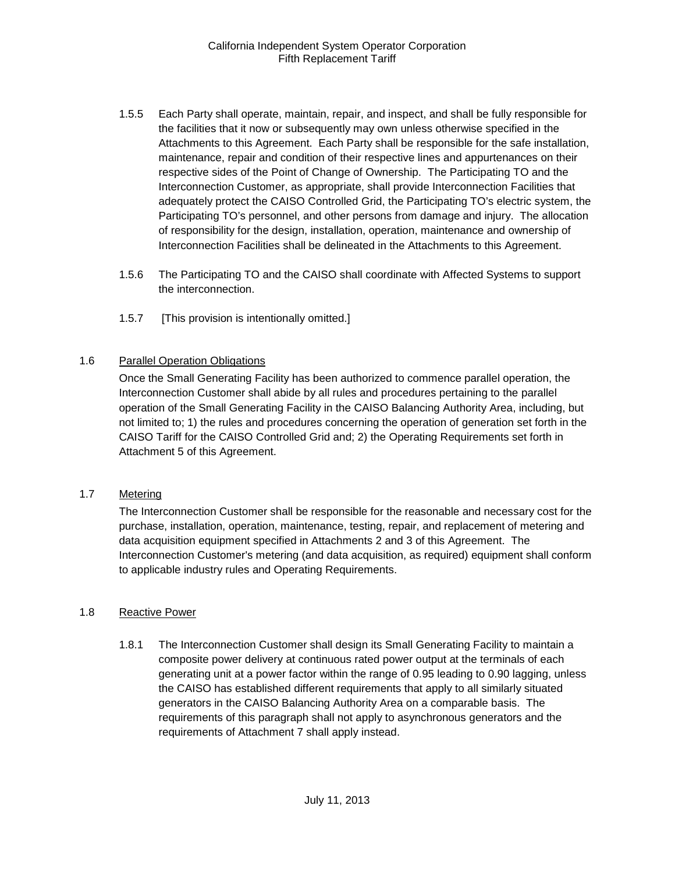- 1.5.5 Each Party shall operate, maintain, repair, and inspect, and shall be fully responsible for the facilities that it now or subsequently may own unless otherwise specified in the Attachments to this Agreement. Each Party shall be responsible for the safe installation, maintenance, repair and condition of their respective lines and appurtenances on their respective sides of the Point of Change of Ownership. The Participating TO and the Interconnection Customer, as appropriate, shall provide Interconnection Facilities that adequately protect the CAISO Controlled Grid, the Participating TO's electric system, the Participating TO's personnel, and other persons from damage and injury. The allocation of responsibility for the design, installation, operation, maintenance and ownership of Interconnection Facilities shall be delineated in the Attachments to this Agreement.
- 1.5.6 The Participating TO and the CAISO shall coordinate with Affected Systems to support the interconnection.
- 1.5.7 [This provision is intentionally omitted.]

#### <span id="page-5-0"></span>1.6 Parallel Operation Obligations

Once the Small Generating Facility has been authorized to commence parallel operation, the Interconnection Customer shall abide by all rules and procedures pertaining to the parallel operation of the Small Generating Facility in the CAISO Balancing Authority Area, including, but not limited to; 1) the rules and procedures concerning the operation of generation set forth in the CAISO Tariff for the CAISO Controlled Grid and; 2) the Operating Requirements set forth in Attachment 5 of this Agreement.

#### <span id="page-5-1"></span>1.7 Metering

The Interconnection Customer shall be responsible for the reasonable and necessary cost for the purchase, installation, operation, maintenance, testing, repair, and replacement of metering and data acquisition equipment specified in Attachments 2 and 3 of this Agreement. The Interconnection Customer's metering (and data acquisition, as required) equipment shall conform to applicable industry rules and Operating Requirements.

#### <span id="page-5-2"></span>1.8 Reactive Power

1.8.1 The Interconnection Customer shall design its Small Generating Facility to maintain a composite power delivery at continuous rated power output at the terminals of each generating unit at a power factor within the range of 0.95 leading to 0.90 lagging, unless the CAISO has established different requirements that apply to all similarly situated generators in the CAISO Balancing Authority Area on a comparable basis. The requirements of this paragraph shall not apply to asynchronous generators and the requirements of Attachment 7 shall apply instead.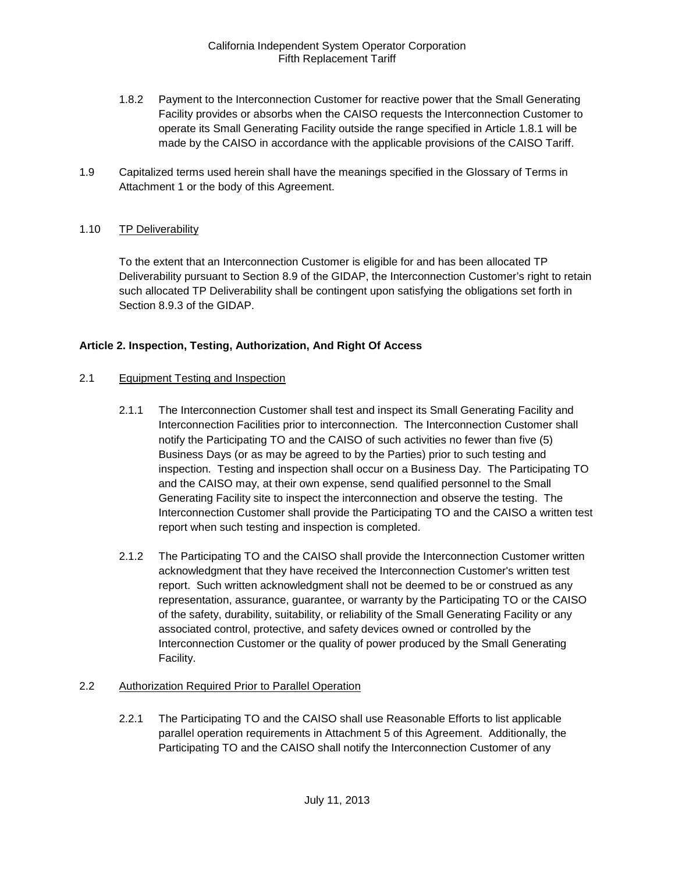- 1.8.2 Payment to the Interconnection Customer for reactive power that the Small Generating Facility provides or absorbs when the CAISO requests the Interconnection Customer to operate its Small Generating Facility outside the range specified in Article 1.8.1 will be made by the CAISO in accordance with the applicable provisions of the CAISO Tariff.
- <span id="page-6-0"></span>1.9 Capitalized terms used herein shall have the meanings specified in the Glossary of Terms in Attachment 1 or the body of this Agreement.

### <span id="page-6-1"></span>1.10 TP Deliverability

To the extent that an Interconnection Customer is eligible for and has been allocated TP Deliverability pursuant to Section 8.9 of the GIDAP, the Interconnection Customer's right to retain such allocated TP Deliverability shall be contingent upon satisfying the obligations set forth in Section 8.9.3 of the GIDAP.

### <span id="page-6-2"></span>**Article 2. Inspection, Testing, Authorization, And Right Of Access**

#### <span id="page-6-3"></span>2.1 Equipment Testing and Inspection

- 2.1.1 The Interconnection Customer shall test and inspect its Small Generating Facility and Interconnection Facilities prior to interconnection. The Interconnection Customer shall notify the Participating TO and the CAISO of such activities no fewer than five (5) Business Days (or as may be agreed to by the Parties) prior to such testing and inspection. Testing and inspection shall occur on a Business Day. The Participating TO and the CAISO may, at their own expense, send qualified personnel to the Small Generating Facility site to inspect the interconnection and observe the testing. The Interconnection Customer shall provide the Participating TO and the CAISO a written test report when such testing and inspection is completed.
- 2.1.2 The Participating TO and the CAISO shall provide the Interconnection Customer written acknowledgment that they have received the Interconnection Customer's written test report. Such written acknowledgment shall not be deemed to be or construed as any representation, assurance, guarantee, or warranty by the Participating TO or the CAISO of the safety, durability, suitability, or reliability of the Small Generating Facility or any associated control, protective, and safety devices owned or controlled by the Interconnection Customer or the quality of power produced by the Small Generating Facility.

#### <span id="page-6-4"></span>2.2 Authorization Required Prior to Parallel Operation

2.2.1 The Participating TO and the CAISO shall use Reasonable Efforts to list applicable parallel operation requirements in Attachment 5 of this Agreement. Additionally, the Participating TO and the CAISO shall notify the Interconnection Customer of any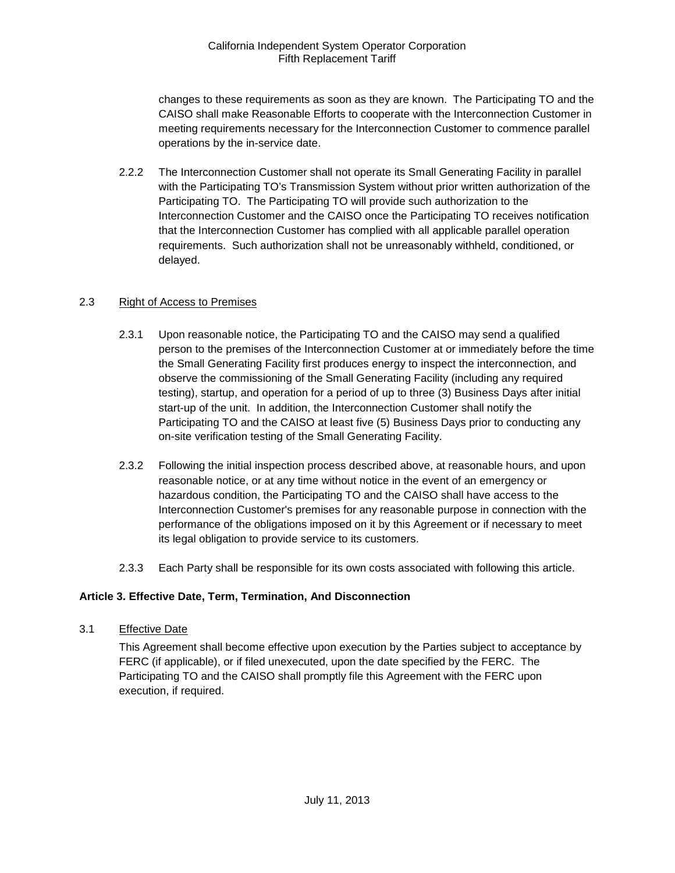changes to these requirements as soon as they are known. The Participating TO and the CAISO shall make Reasonable Efforts to cooperate with the Interconnection Customer in meeting requirements necessary for the Interconnection Customer to commence parallel operations by the in-service date.

2.2.2 The Interconnection Customer shall not operate its Small Generating Facility in parallel with the Participating TO's Transmission System without prior written authorization of the Participating TO. The Participating TO will provide such authorization to the Interconnection Customer and the CAISO once the Participating TO receives notification that the Interconnection Customer has complied with all applicable parallel operation requirements. Such authorization shall not be unreasonably withheld, conditioned, or delayed.

### <span id="page-7-0"></span>2.3 Right of Access to Premises

- 2.3.1 Upon reasonable notice, the Participating TO and the CAISO may send a qualified person to the premises of the Interconnection Customer at or immediately before the time the Small Generating Facility first produces energy to inspect the interconnection, and observe the commissioning of the Small Generating Facility (including any required testing), startup, and operation for a period of up to three (3) Business Days after initial start-up of the unit. In addition, the Interconnection Customer shall notify the Participating TO and the CAISO at least five (5) Business Days prior to conducting any on-site verification testing of the Small Generating Facility.
- 2.3.2 Following the initial inspection process described above, at reasonable hours, and upon reasonable notice, or at any time without notice in the event of an emergency or hazardous condition, the Participating TO and the CAISO shall have access to the Interconnection Customer's premises for any reasonable purpose in connection with the performance of the obligations imposed on it by this Agreement or if necessary to meet its legal obligation to provide service to its customers.
- 2.3.3 Each Party shall be responsible for its own costs associated with following this article.

## <span id="page-7-1"></span>**Article 3. Effective Date, Term, Termination, And Disconnection**

<span id="page-7-2"></span>3.1 Effective Date

This Agreement shall become effective upon execution by the Parties subject to acceptance by FERC (if applicable), or if filed unexecuted, upon the date specified by the FERC. The Participating TO and the CAISO shall promptly file this Agreement with the FERC upon execution, if required.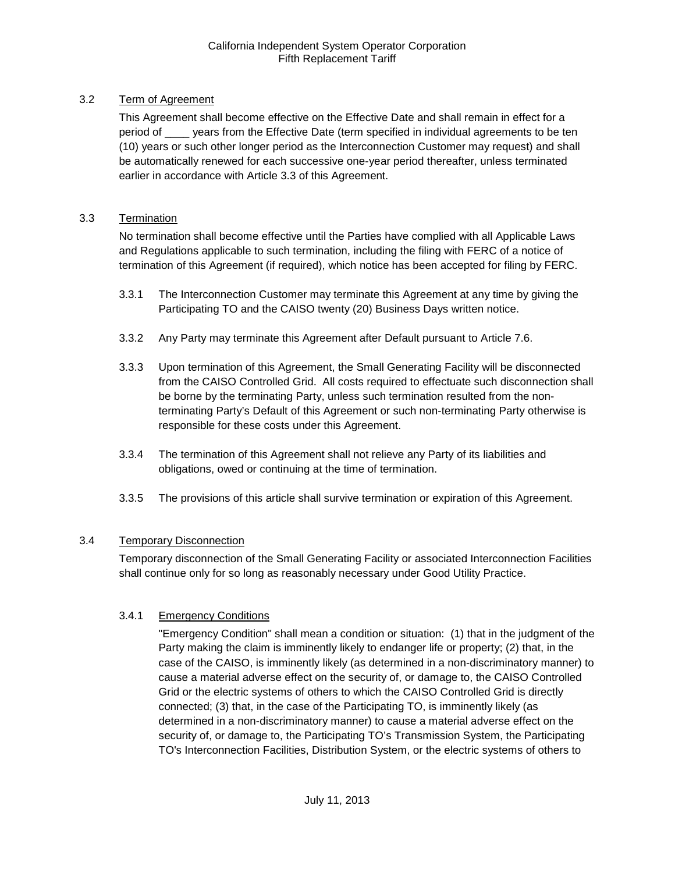## <span id="page-8-0"></span>3.2 Term of Agreement

This Agreement shall become effective on the Effective Date and shall remain in effect for a period of \_\_\_\_ years from the Effective Date (term specified in individual agreements to be ten (10) years or such other longer period as the Interconnection Customer may request) and shall be automatically renewed for each successive one-year period thereafter, unless terminated earlier in accordance with Article 3.3 of this Agreement.

#### <span id="page-8-1"></span>3.3 Termination

No termination shall become effective until the Parties have complied with all Applicable Laws and Regulations applicable to such termination, including the filing with FERC of a notice of termination of this Agreement (if required), which notice has been accepted for filing by FERC.

- 3.3.1 The Interconnection Customer may terminate this Agreement at any time by giving the Participating TO and the CAISO twenty (20) Business Days written notice.
- 3.3.2 Any Party may terminate this Agreement after Default pursuant to Article 7.6.
- 3.3.3 Upon termination of this Agreement, the Small Generating Facility will be disconnected from the CAISO Controlled Grid. All costs required to effectuate such disconnection shall be borne by the terminating Party, unless such termination resulted from the nonterminating Party's Default of this Agreement or such non-terminating Party otherwise is responsible for these costs under this Agreement.
- 3.3.4 The termination of this Agreement shall not relieve any Party of its liabilities and obligations, owed or continuing at the time of termination.
- 3.3.5 The provisions of this article shall survive termination or expiration of this Agreement.

## <span id="page-8-2"></span>3.4 Temporary Disconnection

Temporary disconnection of the Small Generating Facility or associated Interconnection Facilities shall continue only for so long as reasonably necessary under Good Utility Practice.

## 3.4.1 Emergency Conditions

"Emergency Condition" shall mean a condition or situation: (1) that in the judgment of the Party making the claim is imminently likely to endanger life or property; (2) that, in the case of the CAISO, is imminently likely (as determined in a non-discriminatory manner) to cause a material adverse effect on the security of, or damage to, the CAISO Controlled Grid or the electric systems of others to which the CAISO Controlled Grid is directly connected; (3) that, in the case of the Participating TO, is imminently likely (as determined in a non-discriminatory manner) to cause a material adverse effect on the security of, or damage to, the Participating TO's Transmission System, the Participating TO's Interconnection Facilities, Distribution System, or the electric systems of others to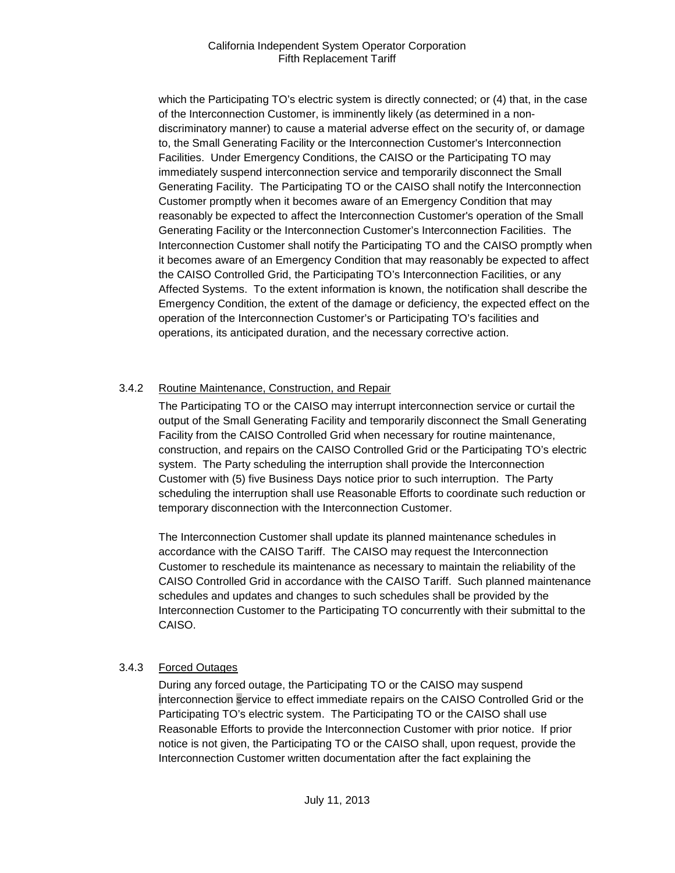which the Participating TO's electric system is directly connected; or (4) that, in the case of the Interconnection Customer, is imminently likely (as determined in a nondiscriminatory manner) to cause a material adverse effect on the security of, or damage to, the Small Generating Facility or the Interconnection Customer's Interconnection Facilities. Under Emergency Conditions, the CAISO or the Participating TO may immediately suspend interconnection service and temporarily disconnect the Small Generating Facility. The Participating TO or the CAISO shall notify the Interconnection Customer promptly when it becomes aware of an Emergency Condition that may reasonably be expected to affect the Interconnection Customer's operation of the Small Generating Facility or the Interconnection Customer's Interconnection Facilities. The Interconnection Customer shall notify the Participating TO and the CAISO promptly when it becomes aware of an Emergency Condition that may reasonably be expected to affect the CAISO Controlled Grid, the Participating TO's Interconnection Facilities, or any Affected Systems. To the extent information is known, the notification shall describe the Emergency Condition, the extent of the damage or deficiency, the expected effect on the operation of the Interconnection Customer's or Participating TO's facilities and operations, its anticipated duration, and the necessary corrective action.

## 3.4.2 Routine Maintenance, Construction, and Repair

The Participating TO or the CAISO may interrupt interconnection service or curtail the output of the Small Generating Facility and temporarily disconnect the Small Generating Facility from the CAISO Controlled Grid when necessary for routine maintenance, construction, and repairs on the CAISO Controlled Grid or the Participating TO's electric system. The Party scheduling the interruption shall provide the Interconnection Customer with (5) five Business Days notice prior to such interruption. The Party scheduling the interruption shall use Reasonable Efforts to coordinate such reduction or temporary disconnection with the Interconnection Customer.

The Interconnection Customer shall update its planned maintenance schedules in accordance with the CAISO Tariff. The CAISO may request the Interconnection Customer to reschedule its maintenance as necessary to maintain the reliability of the CAISO Controlled Grid in accordance with the CAISO Tariff. Such planned maintenance schedules and updates and changes to such schedules shall be provided by the Interconnection Customer to the Participating TO concurrently with their submittal to the CAISO.

## 3.4.3 Forced Outages

During any forced outage, the Participating TO or the CAISO may suspend interconnection service to effect immediate repairs on the CAISO Controlled Grid or the Participating TO's electric system. The Participating TO or the CAISO shall use Reasonable Efforts to provide the Interconnection Customer with prior notice. If prior notice is not given, the Participating TO or the CAISO shall, upon request, provide the Interconnection Customer written documentation after the fact explaining the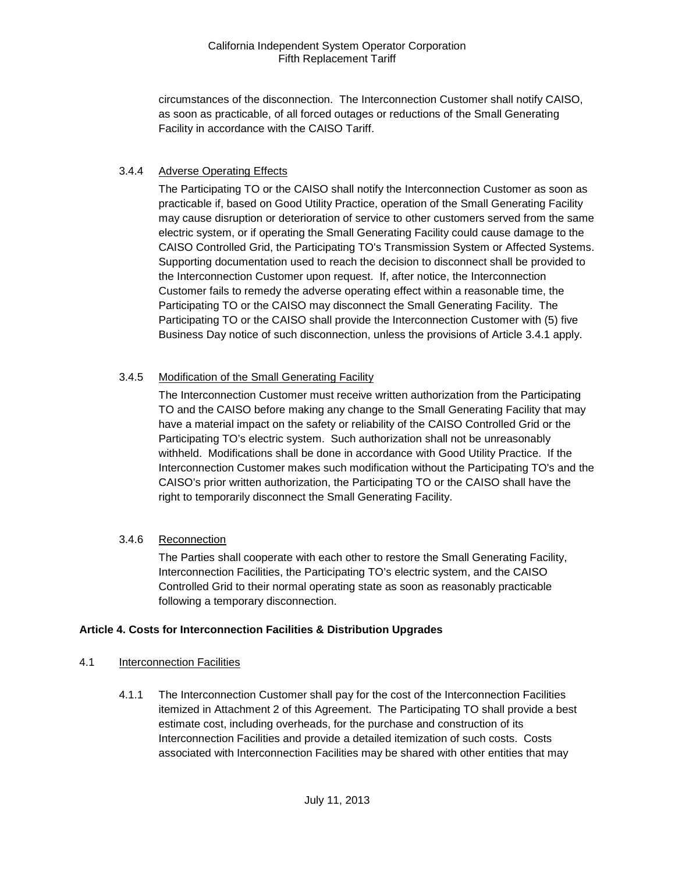circumstances of the disconnection. The Interconnection Customer shall notify CAISO, as soon as practicable, of all forced outages or reductions of the Small Generating Facility in accordance with the CAISO Tariff.

## 3.4.4 Adverse Operating Effects

The Participating TO or the CAISO shall notify the Interconnection Customer as soon as practicable if, based on Good Utility Practice, operation of the Small Generating Facility may cause disruption or deterioration of service to other customers served from the same electric system, or if operating the Small Generating Facility could cause damage to the CAISO Controlled Grid, the Participating TO's Transmission System or Affected Systems. Supporting documentation used to reach the decision to disconnect shall be provided to the Interconnection Customer upon request. If, after notice, the Interconnection Customer fails to remedy the adverse operating effect within a reasonable time, the Participating TO or the CAISO may disconnect the Small Generating Facility. The Participating TO or the CAISO shall provide the Interconnection Customer with (5) five Business Day notice of such disconnection, unless the provisions of Article 3.4.1 apply.

### 3.4.5 Modification of the Small Generating Facility

The Interconnection Customer must receive written authorization from the Participating TO and the CAISO before making any change to the Small Generating Facility that may have a material impact on the safety or reliability of the CAISO Controlled Grid or the Participating TO's electric system. Such authorization shall not be unreasonably withheld. Modifications shall be done in accordance with Good Utility Practice. If the Interconnection Customer makes such modification without the Participating TO's and the CAISO's prior written authorization, the Participating TO or the CAISO shall have the right to temporarily disconnect the Small Generating Facility.

## 3.4.6 Reconnection

The Parties shall cooperate with each other to restore the Small Generating Facility, Interconnection Facilities, the Participating TO's electric system, and the CAISO Controlled Grid to their normal operating state as soon as reasonably practicable following a temporary disconnection.

#### <span id="page-10-0"></span>**Article 4. Costs for Interconnection Facilities & Distribution Upgrades**

#### <span id="page-10-1"></span>4.1 Interconnection Facilities

4.1.1 The Interconnection Customer shall pay for the cost of the Interconnection Facilities itemized in Attachment 2 of this Agreement. The Participating TO shall provide a best estimate cost, including overheads, for the purchase and construction of its Interconnection Facilities and provide a detailed itemization of such costs. Costs associated with Interconnection Facilities may be shared with other entities that may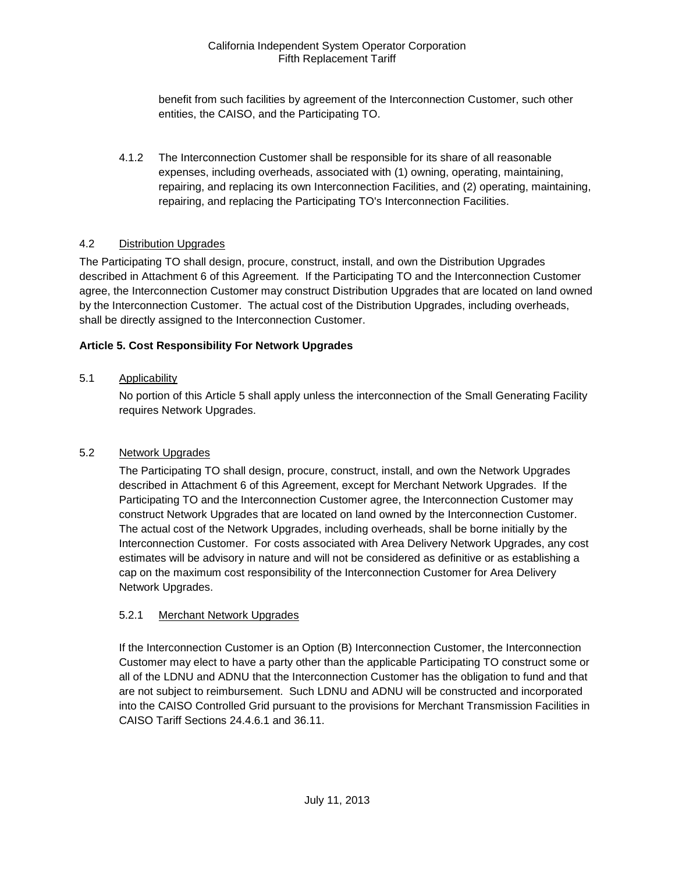benefit from such facilities by agreement of the Interconnection Customer, such other entities, the CAISO, and the Participating TO.

4.1.2 The Interconnection Customer shall be responsible for its share of all reasonable expenses, including overheads, associated with (1) owning, operating, maintaining, repairing, and replacing its own Interconnection Facilities, and (2) operating, maintaining, repairing, and replacing the Participating TO's Interconnection Facilities.

## <span id="page-11-0"></span>4.2 Distribution Upgrades

The Participating TO shall design, procure, construct, install, and own the Distribution Upgrades described in Attachment 6 of this Agreement. If the Participating TO and the Interconnection Customer agree, the Interconnection Customer may construct Distribution Upgrades that are located on land owned by the Interconnection Customer. The actual cost of the Distribution Upgrades, including overheads, shall be directly assigned to the Interconnection Customer.

### <span id="page-11-1"></span>**Article 5. Cost Responsibility For Network Upgrades**

### <span id="page-11-2"></span>5.1 Applicability

No portion of this Article 5 shall apply unless the interconnection of the Small Generating Facility requires Network Upgrades.

#### <span id="page-11-3"></span>5.2 Network Upgrades

The Participating TO shall design, procure, construct, install, and own the Network Upgrades described in Attachment 6 of this Agreement, except for Merchant Network Upgrades. If the Participating TO and the Interconnection Customer agree, the Interconnection Customer may construct Network Upgrades that are located on land owned by the Interconnection Customer. The actual cost of the Network Upgrades, including overheads, shall be borne initially by the Interconnection Customer. For costs associated with Area Delivery Network Upgrades, any cost estimates will be advisory in nature and will not be considered as definitive or as establishing a cap on the maximum cost responsibility of the Interconnection Customer for Area Delivery Network Upgrades.

#### 5.2.1 Merchant Network Upgrades

If the Interconnection Customer is an Option (B) Interconnection Customer, the Interconnection Customer may elect to have a party other than the applicable Participating TO construct some or all of the LDNU and ADNU that the Interconnection Customer has the obligation to fund and that are not subject to reimbursement. Such LDNU and ADNU will be constructed and incorporated into the CAISO Controlled Grid pursuant to the provisions for Merchant Transmission Facilities in CAISO Tariff Sections 24.4.6.1 and 36.11.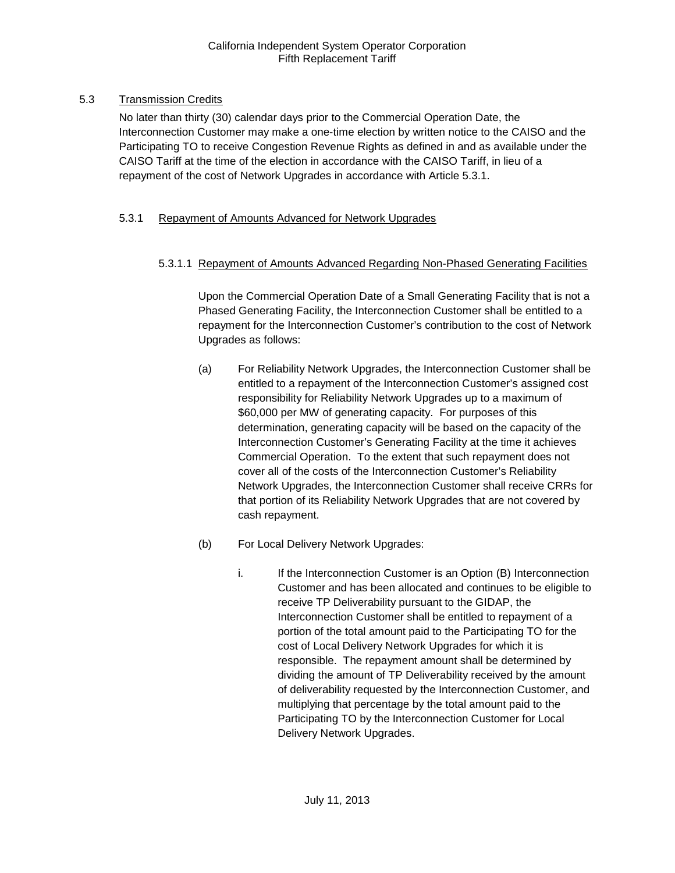## <span id="page-12-0"></span>5.3 Transmission Credits

No later than thirty (30) calendar days prior to the Commercial Operation Date, the Interconnection Customer may make a one-time election by written notice to the CAISO and the Participating TO to receive Congestion Revenue Rights as defined in and as available under the CAISO Tariff at the time of the election in accordance with the CAISO Tariff, in lieu of a repayment of the cost of Network Upgrades in accordance with Article 5.3.1.

## 5.3.1 Repayment of Amounts Advanced for Network Upgrades

## 5.3.1.1 Repayment of Amounts Advanced Regarding Non-Phased Generating Facilities

Upon the Commercial Operation Date of a Small Generating Facility that is not a Phased Generating Facility, the Interconnection Customer shall be entitled to a repayment for the Interconnection Customer's contribution to the cost of Network Upgrades as follows:

- (a) For Reliability Network Upgrades, the Interconnection Customer shall be entitled to a repayment of the Interconnection Customer's assigned cost responsibility for Reliability Network Upgrades up to a maximum of \$60,000 per MW of generating capacity. For purposes of this determination, generating capacity will be based on the capacity of the Interconnection Customer's Generating Facility at the time it achieves Commercial Operation. To the extent that such repayment does not cover all of the costs of the Interconnection Customer's Reliability Network Upgrades, the Interconnection Customer shall receive CRRs for that portion of its Reliability Network Upgrades that are not covered by cash repayment.
- (b) For Local Delivery Network Upgrades:
	- i. If the Interconnection Customer is an Option (B) Interconnection Customer and has been allocated and continues to be eligible to receive TP Deliverability pursuant to the GIDAP, the Interconnection Customer shall be entitled to repayment of a portion of the total amount paid to the Participating TO for the cost of Local Delivery Network Upgrades for which it is responsible. The repayment amount shall be determined by dividing the amount of TP Deliverability received by the amount of deliverability requested by the Interconnection Customer, and multiplying that percentage by the total amount paid to the Participating TO by the Interconnection Customer for Local Delivery Network Upgrades.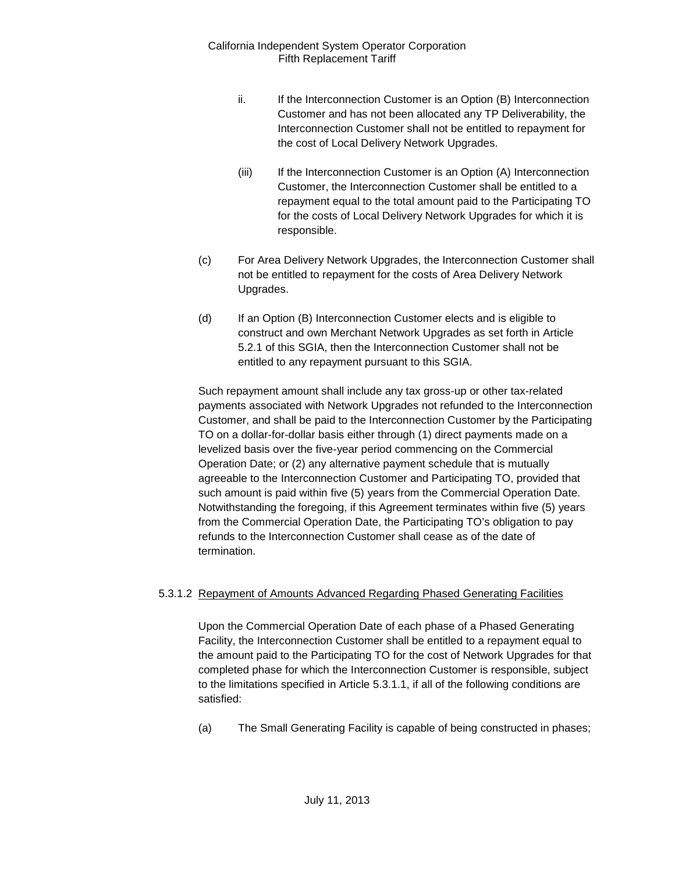- ii. If the Interconnection Customer is an Option (B) Interconnection Customer and has not been allocated any TP Deliverability, the Interconnection Customer shall not be entitled to repayment for the cost of Local Delivery Network Upgrades.
- (iii) If the Interconnection Customer is an Option (A) Interconnection Customer, the Interconnection Customer shall be entitled to a repayment equal to the total amount paid to the Participating TO for the costs of Local Delivery Network Upgrades for which it is responsible.
- (c) For Area Delivery Network Upgrades, the Interconnection Customer shall not be entitled to repayment for the costs of Area Delivery Network Upgrades.
- (d) If an Option (B) Interconnection Customer elects and is eligible to construct and own Merchant Network Upgrades as set forth in Article 5.2.1 of this SGIA, then the Interconnection Customer shall not be entitled to any repayment pursuant to this SGIA.

Such repayment amount shall include any tax gross-up or other tax-related payments associated with Network Upgrades not refunded to the Interconnection Customer, and shall be paid to the Interconnection Customer by the Participating TO on a dollar-for-dollar basis either through (1) direct payments made on a levelized basis over the five-year period commencing on the Commercial Operation Date; or (2) any alternative payment schedule that is mutually agreeable to the Interconnection Customer and Participating TO, provided that such amount is paid within five (5) years from the Commercial Operation Date. Notwithstanding the foregoing, if this Agreement terminates within five (5) years from the Commercial Operation Date, the Participating TO's obligation to pay refunds to the Interconnection Customer shall cease as of the date of termination.

#### 5.3.1.2 Repayment of Amounts Advanced Regarding Phased Generating Facilities

Upon the Commercial Operation Date of each phase of a Phased Generating Facility, the Interconnection Customer shall be entitled to a repayment equal to the amount paid to the Participating TO for the cost of Network Upgrades for that completed phase for which the Interconnection Customer is responsible, subject to the limitations specified in Article 5.3.1.1, if all of the following conditions are satisfied:

(a) The Small Generating Facility is capable of being constructed in phases;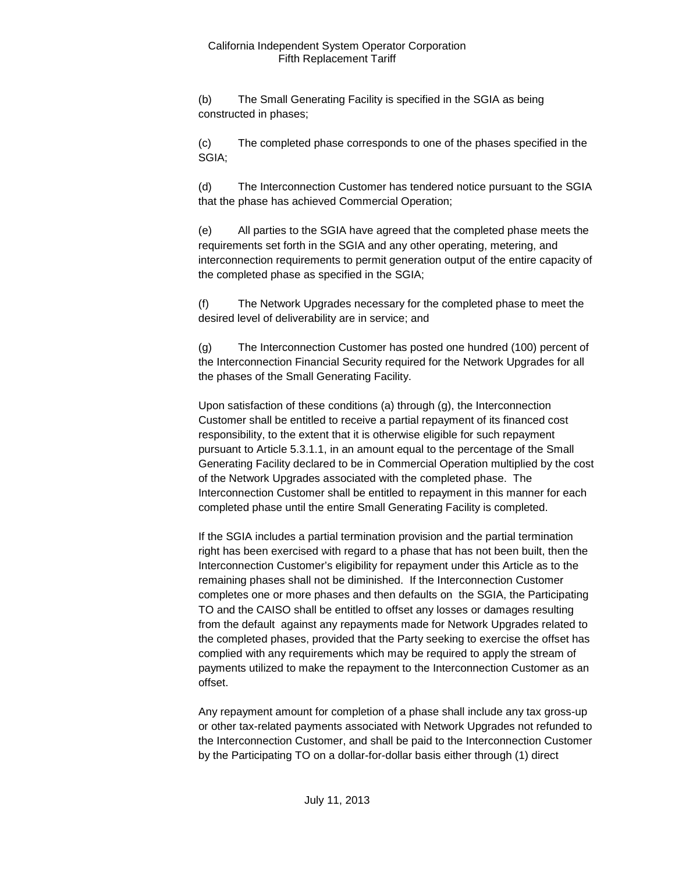(b) The Small Generating Facility is specified in the SGIA as being constructed in phases;

(c) The completed phase corresponds to one of the phases specified in the SGIA;

(d) The Interconnection Customer has tendered notice pursuant to the SGIA that the phase has achieved Commercial Operation;

(e) All parties to the SGIA have agreed that the completed phase meets the requirements set forth in the SGIA and any other operating, metering, and interconnection requirements to permit generation output of the entire capacity of the completed phase as specified in the SGIA;

(f) The Network Upgrades necessary for the completed phase to meet the desired level of deliverability are in service; and

(g) The Interconnection Customer has posted one hundred (100) percent of the Interconnection Financial Security required for the Network Upgrades for all the phases of the Small Generating Facility.

Upon satisfaction of these conditions (a) through (g), the Interconnection Customer shall be entitled to receive a partial repayment of its financed cost responsibility, to the extent that it is otherwise eligible for such repayment pursuant to Article 5.3.1.1, in an amount equal to the percentage of the Small Generating Facility declared to be in Commercial Operation multiplied by the cost of the Network Upgrades associated with the completed phase. The Interconnection Customer shall be entitled to repayment in this manner for each completed phase until the entire Small Generating Facility is completed.

If the SGIA includes a partial termination provision and the partial termination right has been exercised with regard to a phase that has not been built, then the Interconnection Customer's eligibility for repayment under this Article as to the remaining phases shall not be diminished. If the Interconnection Customer completes one or more phases and then defaults on the SGIA, the Participating TO and the CAISO shall be entitled to offset any losses or damages resulting from the default against any repayments made for Network Upgrades related to the completed phases, provided that the Party seeking to exercise the offset has complied with any requirements which may be required to apply the stream of payments utilized to make the repayment to the Interconnection Customer as an offset.

Any repayment amount for completion of a phase shall include any tax gross-up or other tax-related payments associated with Network Upgrades not refunded to the Interconnection Customer, and shall be paid to the Interconnection Customer by the Participating TO on a dollar-for-dollar basis either through (1) direct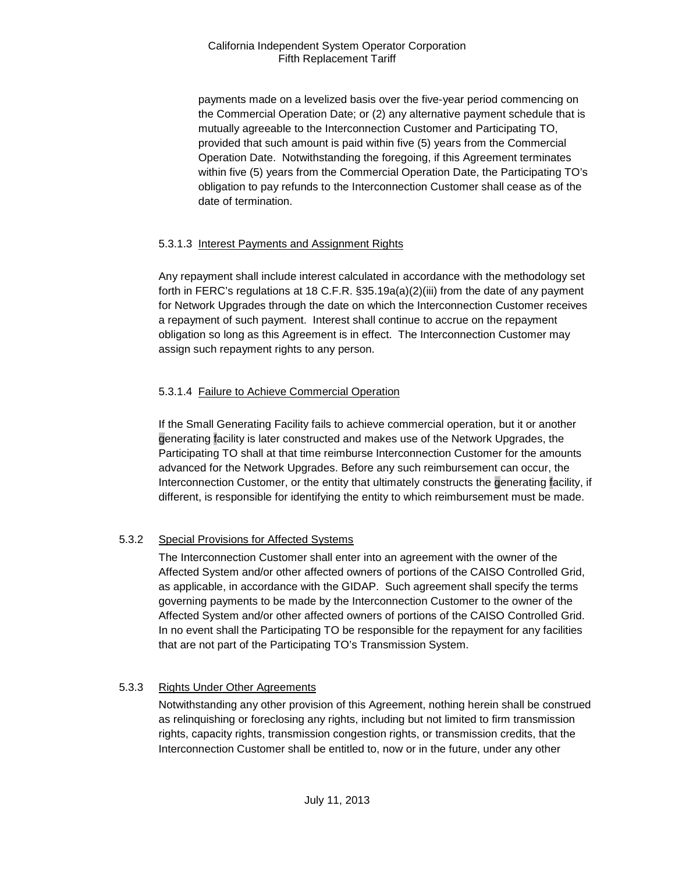payments made on a levelized basis over the five-year period commencing on the Commercial Operation Date; or (2) any alternative payment schedule that is mutually agreeable to the Interconnection Customer and Participating TO, provided that such amount is paid within five (5) years from the Commercial Operation Date. Notwithstanding the foregoing, if this Agreement terminates within five (5) years from the Commercial Operation Date, the Participating TO's obligation to pay refunds to the Interconnection Customer shall cease as of the date of termination.

### 5.3.1.3 Interest Payments and Assignment Rights

Any repayment shall include interest calculated in accordance with the methodology set forth in FERC's regulations at 18 C.F.R. §35.19a(a)(2)(iii) from the date of any payment for Network Upgrades through the date on which the Interconnection Customer receives a repayment of such payment. Interest shall continue to accrue on the repayment obligation so long as this Agreement is in effect. The Interconnection Customer may assign such repayment rights to any person.

### 5.3.1.4 Failure to Achieve Commercial Operation

If the Small Generating Facility fails to achieve commercial operation, but it or another generating facility is later constructed and makes use of the Network Upgrades, the Participating TO shall at that time reimburse Interconnection Customer for the amounts advanced for the Network Upgrades. Before any such reimbursement can occur, the Interconnection Customer, or the entity that ultimately constructs the generating facility, if different, is responsible for identifying the entity to which reimbursement must be made.

## 5.3.2 Special Provisions for Affected Systems

The Interconnection Customer shall enter into an agreement with the owner of the Affected System and/or other affected owners of portions of the CAISO Controlled Grid, as applicable, in accordance with the GIDAP. Such agreement shall specify the terms governing payments to be made by the Interconnection Customer to the owner of the Affected System and/or other affected owners of portions of the CAISO Controlled Grid. In no event shall the Participating TO be responsible for the repayment for any facilities that are not part of the Participating TO's Transmission System.

## 5.3.3 Rights Under Other Agreements

Notwithstanding any other provision of this Agreement, nothing herein shall be construed as relinquishing or foreclosing any rights, including but not limited to firm transmission rights, capacity rights, transmission congestion rights, or transmission credits, that the Interconnection Customer shall be entitled to, now or in the future, under any other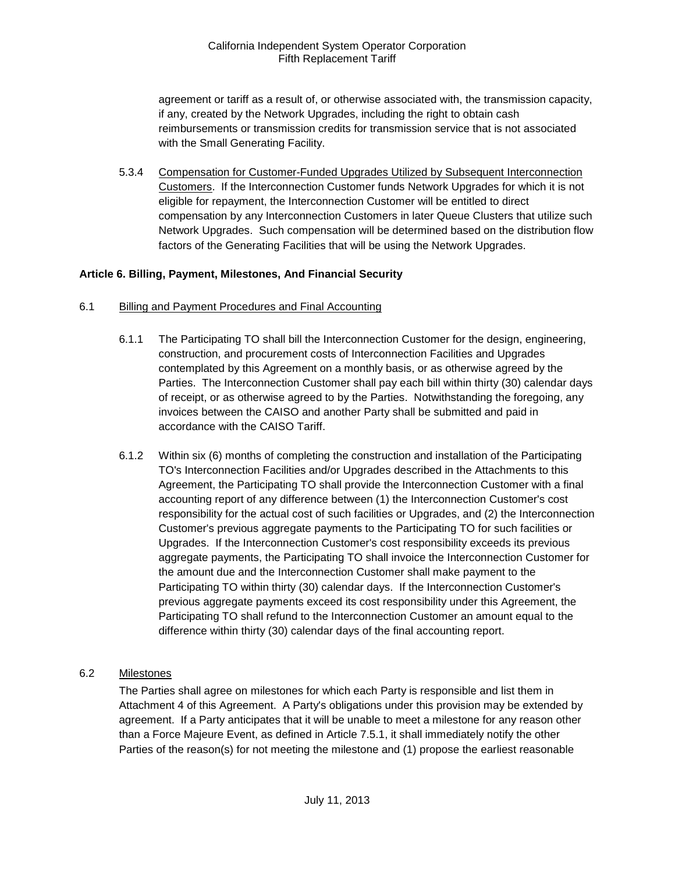agreement or tariff as a result of, or otherwise associated with, the transmission capacity, if any, created by the Network Upgrades, including the right to obtain cash reimbursements or transmission credits for transmission service that is not associated with the Small Generating Facility.

5.3.4 Compensation for Customer-Funded Upgrades Utilized by Subsequent Interconnection Customers. If the Interconnection Customer funds Network Upgrades for which it is not eligible for repayment, the Interconnection Customer will be entitled to direct compensation by any Interconnection Customers in later Queue Clusters that utilize such Network Upgrades. Such compensation will be determined based on the distribution flow factors of the Generating Facilities that will be using the Network Upgrades.

## <span id="page-16-0"></span>**Article 6. Billing, Payment, Milestones, And Financial Security**

- <span id="page-16-1"></span>6.1 Billing and Payment Procedures and Final Accounting
	- 6.1.1 The Participating TO shall bill the Interconnection Customer for the design, engineering, construction, and procurement costs of Interconnection Facilities and Upgrades contemplated by this Agreement on a monthly basis, or as otherwise agreed by the Parties. The Interconnection Customer shall pay each bill within thirty (30) calendar days of receipt, or as otherwise agreed to by the Parties. Notwithstanding the foregoing, any invoices between the CAISO and another Party shall be submitted and paid in accordance with the CAISO Tariff.
	- 6.1.2 Within six (6) months of completing the construction and installation of the Participating TO's Interconnection Facilities and/or Upgrades described in the Attachments to this Agreement, the Participating TO shall provide the Interconnection Customer with a final accounting report of any difference between (1) the Interconnection Customer's cost responsibility for the actual cost of such facilities or Upgrades, and (2) the Interconnection Customer's previous aggregate payments to the Participating TO for such facilities or Upgrades. If the Interconnection Customer's cost responsibility exceeds its previous aggregate payments, the Participating TO shall invoice the Interconnection Customer for the amount due and the Interconnection Customer shall make payment to the Participating TO within thirty (30) calendar days. If the Interconnection Customer's previous aggregate payments exceed its cost responsibility under this Agreement, the Participating TO shall refund to the Interconnection Customer an amount equal to the difference within thirty (30) calendar days of the final accounting report.

## <span id="page-16-2"></span>6.2 Milestones

The Parties shall agree on milestones for which each Party is responsible and list them in Attachment 4 of this Agreement. A Party's obligations under this provision may be extended by agreement. If a Party anticipates that it will be unable to meet a milestone for any reason other than a Force Majeure Event, as defined in Article 7.5.1, it shall immediately notify the other Parties of the reason(s) for not meeting the milestone and (1) propose the earliest reasonable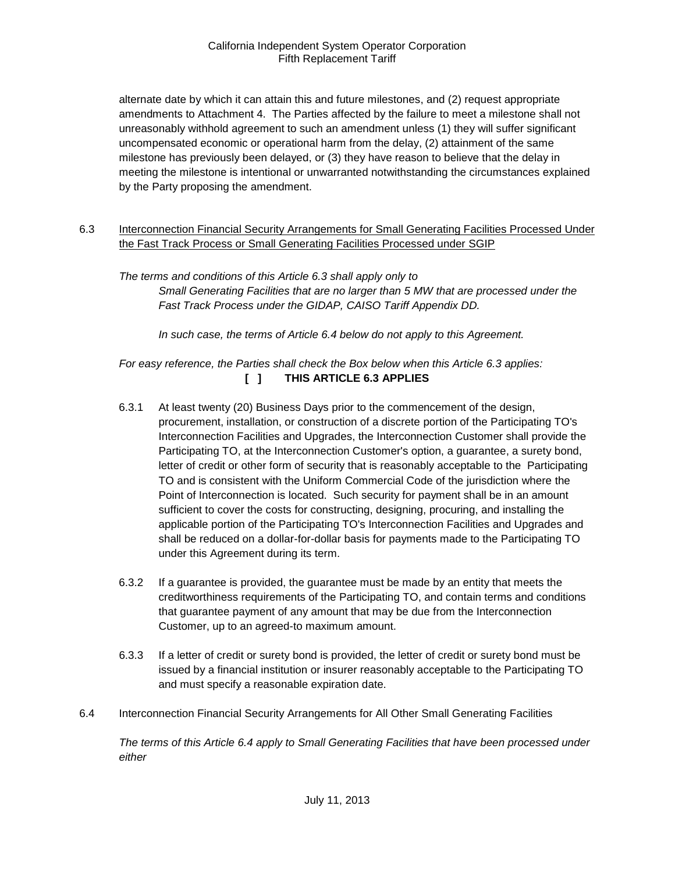alternate date by which it can attain this and future milestones, and (2) request appropriate amendments to Attachment 4. The Parties affected by the failure to meet a milestone shall not unreasonably withhold agreement to such an amendment unless (1) they will suffer significant uncompensated economic or operational harm from the delay, (2) attainment of the same milestone has previously been delayed, or (3) they have reason to believe that the delay in meeting the milestone is intentional or unwarranted notwithstanding the circumstances explained by the Party proposing the amendment.

<span id="page-17-0"></span>6.3 Interconnection Financial Security Arrangements for Small Generating Facilities Processed Under the Fast Track Process or Small Generating Facilities Processed under SGIP

*The terms and conditions of this Article 6.3 shall apply only to Small Generating Facilities that are no larger than 5 MW that are processed under the Fast Track Process under the GIDAP, CAISO Tariff Appendix DD.*

*In such case, the terms of Article 6.4 below do not apply to this Agreement.*

*For easy reference, the Parties shall check the Box below when this Article 6.3 applies:*  **[ ] THIS ARTICLE 6.3 APPLIES**

- 6.3.1 At least twenty (20) Business Days prior to the commencement of the design, procurement, installation, or construction of a discrete portion of the Participating TO's Interconnection Facilities and Upgrades, the Interconnection Customer shall provide the Participating TO, at the Interconnection Customer's option, a guarantee, a surety bond, letter of credit or other form of security that is reasonably acceptable to the Participating TO and is consistent with the Uniform Commercial Code of the jurisdiction where the Point of Interconnection is located. Such security for payment shall be in an amount sufficient to cover the costs for constructing, designing, procuring, and installing the applicable portion of the Participating TO's Interconnection Facilities and Upgrades and shall be reduced on a dollar-for-dollar basis for payments made to the Participating TO under this Agreement during its term.
- 6.3.2 If a guarantee is provided, the guarantee must be made by an entity that meets the creditworthiness requirements of the Participating TO, and contain terms and conditions that guarantee payment of any amount that may be due from the Interconnection Customer, up to an agreed-to maximum amount.
- 6.3.3 If a letter of credit or surety bond is provided, the letter of credit or surety bond must be issued by a financial institution or insurer reasonably acceptable to the Participating TO and must specify a reasonable expiration date.
- <span id="page-17-1"></span>6.4 Interconnection Financial Security Arrangements for All Other Small Generating Facilities

*The terms of this Article 6.4 apply to Small Generating Facilities that have been processed under either*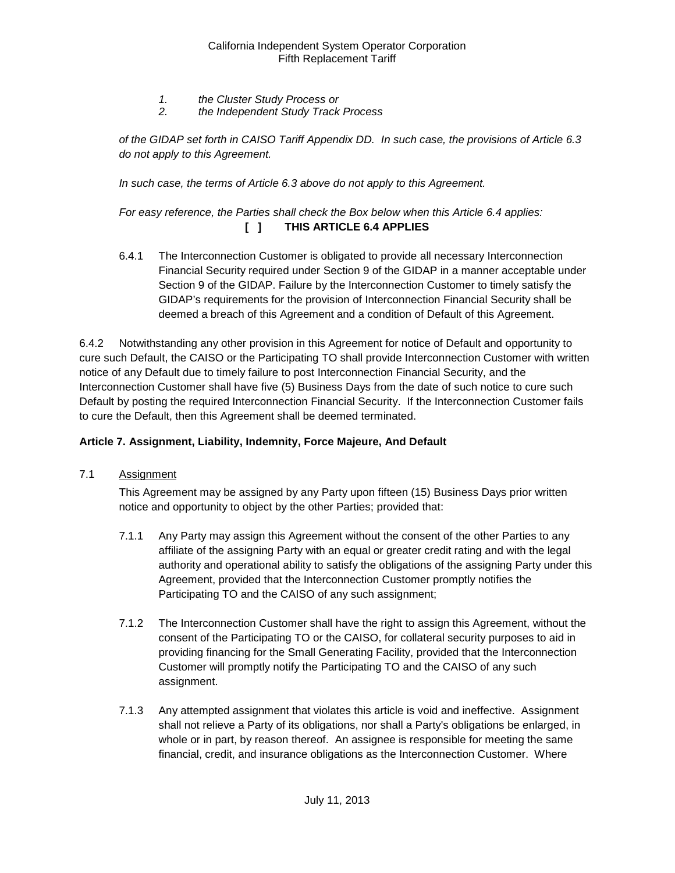- *1. the Cluster Study Process or*
- *2. the Independent Study Track Process*

*of the GIDAP set forth in CAISO Tariff Appendix DD. In such case, the provisions of Article 6.3 do not apply to this Agreement.*

*In such case, the terms of Article 6.3 above do not apply to this Agreement.* 

## *For easy reference, the Parties shall check the Box below when this Article 6.4 applies:*  **[ ] THIS ARTICLE 6.4 APPLIES**

6.4.1 The Interconnection Customer is obligated to provide all necessary Interconnection Financial Security required under Section 9 of the GIDAP in a manner acceptable under Section 9 of the GIDAP. Failure by the Interconnection Customer to timely satisfy the GIDAP's requirements for the provision of Interconnection Financial Security shall be deemed a breach of this Agreement and a condition of Default of this Agreement.

6.4.2 Notwithstanding any other provision in this Agreement for notice of Default and opportunity to cure such Default, the CAISO or the Participating TO shall provide Interconnection Customer with written notice of any Default due to timely failure to post Interconnection Financial Security, and the Interconnection Customer shall have five (5) Business Days from the date of such notice to cure such Default by posting the required Interconnection Financial Security. If the Interconnection Customer fails to cure the Default, then this Agreement shall be deemed terminated.

## <span id="page-18-0"></span>**Article 7. Assignment, Liability, Indemnity, Force Majeure, And Default**

<span id="page-18-1"></span>7.1 Assignment

This Agreement may be assigned by any Party upon fifteen (15) Business Days prior written notice and opportunity to object by the other Parties; provided that:

- 7.1.1 Any Party may assign this Agreement without the consent of the other Parties to any affiliate of the assigning Party with an equal or greater credit rating and with the legal authority and operational ability to satisfy the obligations of the assigning Party under this Agreement, provided that the Interconnection Customer promptly notifies the Participating TO and the CAISO of any such assignment;
- 7.1.2 The Interconnection Customer shall have the right to assign this Agreement, without the consent of the Participating TO or the CAISO, for collateral security purposes to aid in providing financing for the Small Generating Facility, provided that the Interconnection Customer will promptly notify the Participating TO and the CAISO of any such assignment.
- 7.1.3 Any attempted assignment that violates this article is void and ineffective. Assignment shall not relieve a Party of its obligations, nor shall a Party's obligations be enlarged, in whole or in part, by reason thereof. An assignee is responsible for meeting the same financial, credit, and insurance obligations as the Interconnection Customer. Where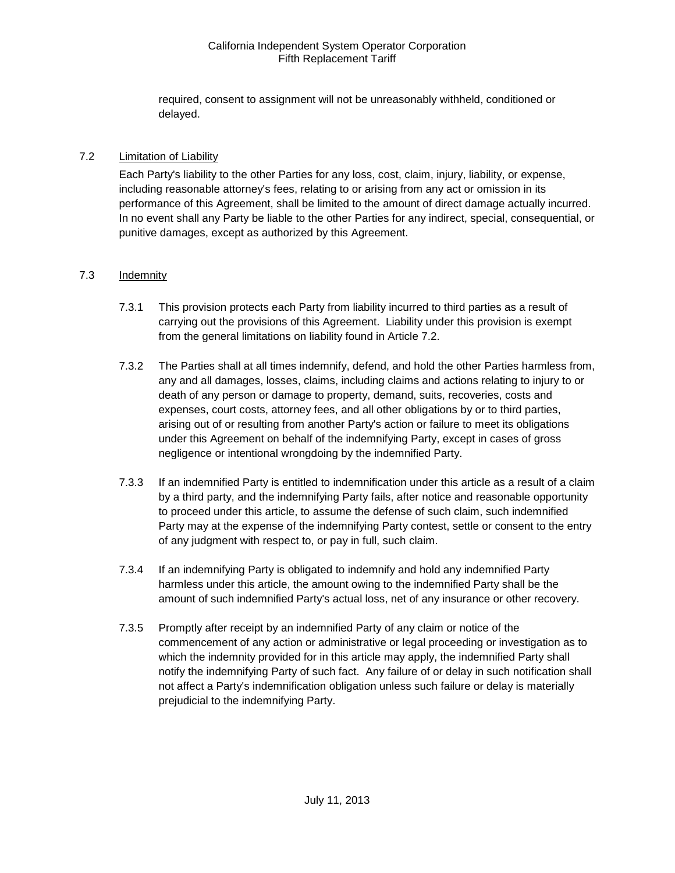required, consent to assignment will not be unreasonably withheld, conditioned or delayed.

#### <span id="page-19-0"></span>7.2 Limitation of Liability

Each Party's liability to the other Parties for any loss, cost, claim, injury, liability, or expense, including reasonable attorney's fees, relating to or arising from any act or omission in its performance of this Agreement, shall be limited to the amount of direct damage actually incurred. In no event shall any Party be liable to the other Parties for any indirect, special, consequential, or punitive damages, except as authorized by this Agreement.

### <span id="page-19-1"></span>7.3 Indemnity

- 7.3.1 This provision protects each Party from liability incurred to third parties as a result of carrying out the provisions of this Agreement. Liability under this provision is exempt from the general limitations on liability found in Article 7.2.
- 7.3.2 The Parties shall at all times indemnify, defend, and hold the other Parties harmless from, any and all damages, losses, claims, including claims and actions relating to injury to or death of any person or damage to property, demand, suits, recoveries, costs and expenses, court costs, attorney fees, and all other obligations by or to third parties, arising out of or resulting from another Party's action or failure to meet its obligations under this Agreement on behalf of the indemnifying Party, except in cases of gross negligence or intentional wrongdoing by the indemnified Party.
- 7.3.3 If an indemnified Party is entitled to indemnification under this article as a result of a claim by a third party, and the indemnifying Party fails, after notice and reasonable opportunity to proceed under this article, to assume the defense of such claim, such indemnified Party may at the expense of the indemnifying Party contest, settle or consent to the entry of any judgment with respect to, or pay in full, such claim.
- 7.3.4 If an indemnifying Party is obligated to indemnify and hold any indemnified Party harmless under this article, the amount owing to the indemnified Party shall be the amount of such indemnified Party's actual loss, net of any insurance or other recovery.
- 7.3.5 Promptly after receipt by an indemnified Party of any claim or notice of the commencement of any action or administrative or legal proceeding or investigation as to which the indemnity provided for in this article may apply, the indemnified Party shall notify the indemnifying Party of such fact. Any failure of or delay in such notification shall not affect a Party's indemnification obligation unless such failure or delay is materially prejudicial to the indemnifying Party.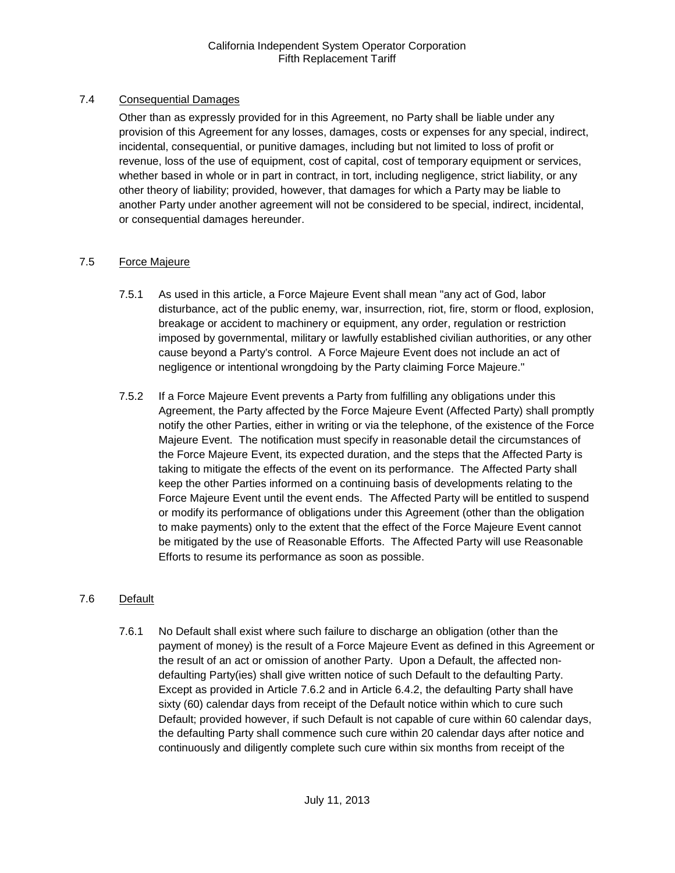## <span id="page-20-0"></span>7.4 Consequential Damages

Other than as expressly provided for in this Agreement, no Party shall be liable under any provision of this Agreement for any losses, damages, costs or expenses for any special, indirect, incidental, consequential, or punitive damages, including but not limited to loss of profit or revenue, loss of the use of equipment, cost of capital, cost of temporary equipment or services, whether based in whole or in part in contract, in tort, including negligence, strict liability, or any other theory of liability; provided, however, that damages for which a Party may be liable to another Party under another agreement will not be considered to be special, indirect, incidental, or consequential damages hereunder.

## <span id="page-20-1"></span>7.5 Force Majeure

- 7.5.1 As used in this article, a Force Majeure Event shall mean "any act of God, labor disturbance, act of the public enemy, war, insurrection, riot, fire, storm or flood, explosion, breakage or accident to machinery or equipment, any order, regulation or restriction imposed by governmental, military or lawfully established civilian authorities, or any other cause beyond a Party's control. A Force Majeure Event does not include an act of negligence or intentional wrongdoing by the Party claiming Force Majeure."
- 7.5.2 If a Force Majeure Event prevents a Party from fulfilling any obligations under this Agreement, the Party affected by the Force Majeure Event (Affected Party) shall promptly notify the other Parties, either in writing or via the telephone, of the existence of the Force Majeure Event. The notification must specify in reasonable detail the circumstances of the Force Majeure Event, its expected duration, and the steps that the Affected Party is taking to mitigate the effects of the event on its performance. The Affected Party shall keep the other Parties informed on a continuing basis of developments relating to the Force Majeure Event until the event ends. The Affected Party will be entitled to suspend or modify its performance of obligations under this Agreement (other than the obligation to make payments) only to the extent that the effect of the Force Majeure Event cannot be mitigated by the use of Reasonable Efforts. The Affected Party will use Reasonable Efforts to resume its performance as soon as possible.

## <span id="page-20-2"></span>7.6 Default

7.6.1 No Default shall exist where such failure to discharge an obligation (other than the payment of money) is the result of a Force Majeure Event as defined in this Agreement or the result of an act or omission of another Party. Upon a Default, the affected nondefaulting Party(ies) shall give written notice of such Default to the defaulting Party. Except as provided in Article 7.6.2 and in Article 6.4.2, the defaulting Party shall have sixty (60) calendar days from receipt of the Default notice within which to cure such Default; provided however, if such Default is not capable of cure within 60 calendar days, the defaulting Party shall commence such cure within 20 calendar days after notice and continuously and diligently complete such cure within six months from receipt of the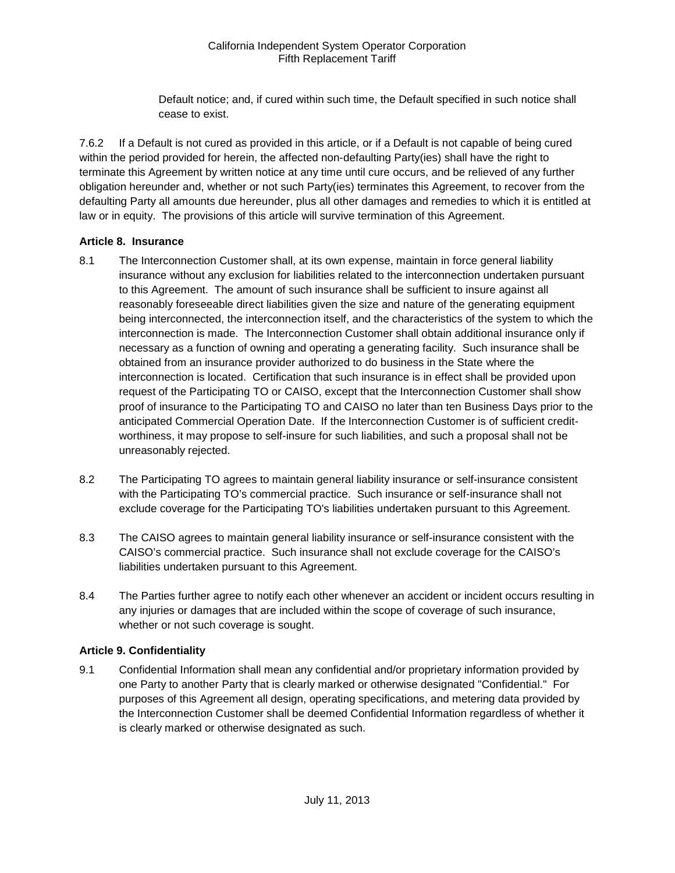Default notice; and, if cured within such time, the Default specified in such notice shall cease to exist.

7.6.2 If a Default is not cured as provided in this article, or if a Default is not capable of being cured within the period provided for herein, the affected non-defaulting Party(ies) shall have the right to terminate this Agreement by written notice at any time until cure occurs, and be relieved of any further obligation hereunder and, whether or not such Party(ies) terminates this Agreement, to recover from the defaulting Party all amounts due hereunder, plus all other damages and remedies to which it is entitled at law or in equity. The provisions of this article will survive termination of this Agreement.

### <span id="page-21-0"></span>**Article 8. Insurance**

- <span id="page-21-1"></span>8.1 The Interconnection Customer shall, at its own expense, maintain in force general liability insurance without any exclusion for liabilities related to the interconnection undertaken pursuant to this Agreement. The amount of such insurance shall be sufficient to insure against all reasonably foreseeable direct liabilities given the size and nature of the generating equipment being interconnected, the interconnection itself, and the characteristics of the system to which the interconnection is made. The Interconnection Customer shall obtain additional insurance only if necessary as a function of owning and operating a generating facility. Such insurance shall be obtained from an insurance provider authorized to do business in the State where the interconnection is located. Certification that such insurance is in effect shall be provided upon request of the Participating TO or CAISO, except that the Interconnection Customer shall show proof of insurance to the Participating TO and CAISO no later than ten Business Days prior to the anticipated Commercial Operation Date. If the Interconnection Customer is of sufficient creditworthiness, it may propose to self-insure for such liabilities, and such a proposal shall not be unreasonably rejected.
- <span id="page-21-2"></span>8.2 The Participating TO agrees to maintain general liability insurance or self-insurance consistent with the Participating TO's commercial practice. Such insurance or self-insurance shall not exclude coverage for the Participating TO's liabilities undertaken pursuant to this Agreement.
- <span id="page-21-3"></span>8.3 The CAISO agrees to maintain general liability insurance or self-insurance consistent with the CAISO's commercial practice. Such insurance shall not exclude coverage for the CAISO's liabilities undertaken pursuant to this Agreement.
- <span id="page-21-4"></span>8.4 The Parties further agree to notify each other whenever an accident or incident occurs resulting in any injuries or damages that are included within the scope of coverage of such insurance, whether or not such coverage is sought.

## <span id="page-21-5"></span>**Article 9. Confidentiality**

<span id="page-21-6"></span>9.1 Confidential Information shall mean any confidential and/or proprietary information provided by one Party to another Party that is clearly marked or otherwise designated "Confidential." For purposes of this Agreement all design, operating specifications, and metering data provided by the Interconnection Customer shall be deemed Confidential Information regardless of whether it is clearly marked or otherwise designated as such.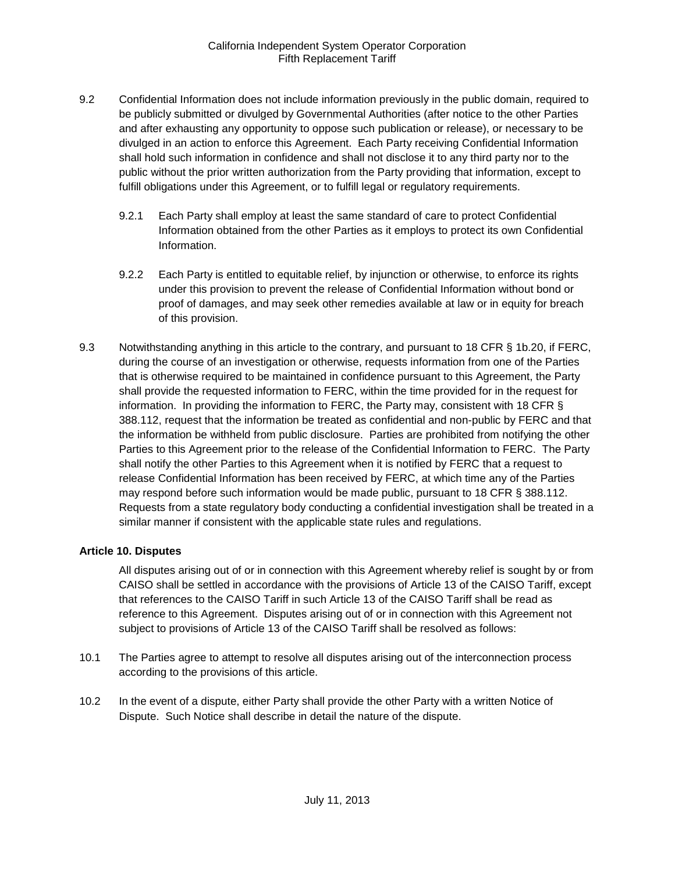- <span id="page-22-0"></span>9.2 Confidential Information does not include information previously in the public domain, required to be publicly submitted or divulged by Governmental Authorities (after notice to the other Parties and after exhausting any opportunity to oppose such publication or release), or necessary to be divulged in an action to enforce this Agreement. Each Party receiving Confidential Information shall hold such information in confidence and shall not disclose it to any third party nor to the public without the prior written authorization from the Party providing that information, except to fulfill obligations under this Agreement, or to fulfill legal or regulatory requirements.
	- 9.2.1 Each Party shall employ at least the same standard of care to protect Confidential Information obtained from the other Parties as it employs to protect its own Confidential Information.
	- 9.2.2 Each Party is entitled to equitable relief, by injunction or otherwise, to enforce its rights under this provision to prevent the release of Confidential Information without bond or proof of damages, and may seek other remedies available at law or in equity for breach of this provision.
- <span id="page-22-1"></span>9.3 Notwithstanding anything in this article to the contrary, and pursuant to 18 CFR § 1b.20, if FERC, during the course of an investigation or otherwise, requests information from one of the Parties that is otherwise required to be maintained in confidence pursuant to this Agreement, the Party shall provide the requested information to FERC, within the time provided for in the request for information. In providing the information to FERC, the Party may, consistent with 18 CFR § 388.112, request that the information be treated as confidential and non-public by FERC and that the information be withheld from public disclosure. Parties are prohibited from notifying the other Parties to this Agreement prior to the release of the Confidential Information to FERC. The Party shall notify the other Parties to this Agreement when it is notified by FERC that a request to release Confidential Information has been received by FERC, at which time any of the Parties may respond before such information would be made public, pursuant to 18 CFR § 388.112. Requests from a state regulatory body conducting a confidential investigation shall be treated in a similar manner if consistent with the applicable state rules and regulations.

#### <span id="page-22-2"></span>**Article 10. Disputes**

All disputes arising out of or in connection with this Agreement whereby relief is sought by or from CAISO shall be settled in accordance with the provisions of Article 13 of the CAISO Tariff, except that references to the CAISO Tariff in such Article 13 of the CAISO Tariff shall be read as reference to this Agreement. Disputes arising out of or in connection with this Agreement not subject to provisions of Article 13 of the CAISO Tariff shall be resolved as follows:

- <span id="page-22-3"></span>10.1 The Parties agree to attempt to resolve all disputes arising out of the interconnection process according to the provisions of this article.
- <span id="page-22-4"></span>10.2 In the event of a dispute, either Party shall provide the other Party with a written Notice of Dispute. Such Notice shall describe in detail the nature of the dispute.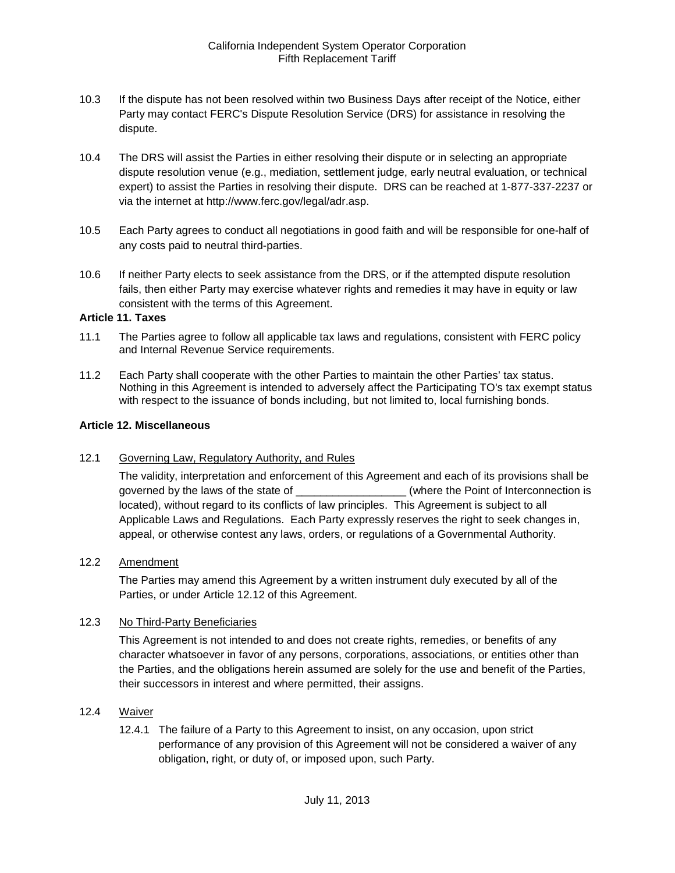- <span id="page-23-0"></span>10.3 If the dispute has not been resolved within two Business Days after receipt of the Notice, either Party may contact FERC's Dispute Resolution Service (DRS) for assistance in resolving the dispute.
- <span id="page-23-1"></span>10.4 The DRS will assist the Parties in either resolving their dispute or in selecting an appropriate dispute resolution venue (e.g., mediation, settlement judge, early neutral evaluation, or technical expert) to assist the Parties in resolving their dispute. DRS can be reached at 1-877-337-2237 or via the internet at http://www.ferc.gov/legal/adr.asp.
- <span id="page-23-2"></span>10.5 Each Party agrees to conduct all negotiations in good faith and will be responsible for one-half of any costs paid to neutral third-parties.
- <span id="page-23-3"></span>10.6 If neither Party elects to seek assistance from the DRS, or if the attempted dispute resolution fails, then either Party may exercise whatever rights and remedies it may have in equity or law consistent with the terms of this Agreement.

#### <span id="page-23-4"></span>**Article 11. Taxes**

- <span id="page-23-5"></span>11.1 The Parties agree to follow all applicable tax laws and regulations, consistent with FERC policy and Internal Revenue Service requirements.
- <span id="page-23-6"></span>11.2 Each Party shall cooperate with the other Parties to maintain the other Parties' tax status. Nothing in this Agreement is intended to adversely affect the Participating TO's tax exempt status with respect to the issuance of bonds including, but not limited to, local furnishing bonds.

#### <span id="page-23-7"></span>**Article 12. Miscellaneous**

<span id="page-23-8"></span>12.1 Governing Law, Regulatory Authority, and Rules

The validity, interpretation and enforcement of this Agreement and each of its provisions shall be governed by the laws of the state of \_\_\_\_\_\_\_\_\_\_\_\_\_\_\_\_\_\_\_\_\_(where the Point of Interconnection is located), without regard to its conflicts of law principles. This Agreement is subject to all Applicable Laws and Regulations. Each Party expressly reserves the right to seek changes in, appeal, or otherwise contest any laws, orders, or regulations of a Governmental Authority.

#### <span id="page-23-9"></span>12.2 Amendment

The Parties may amend this Agreement by a written instrument duly executed by all of the Parties, or under Article 12.12 of this Agreement.

#### <span id="page-23-10"></span>12.3 No Third-Party Beneficiaries

This Agreement is not intended to and does not create rights, remedies, or benefits of any character whatsoever in favor of any persons, corporations, associations, or entities other than the Parties, and the obligations herein assumed are solely for the use and benefit of the Parties, their successors in interest and where permitted, their assigns.

#### <span id="page-23-11"></span>12.4 Waiver

12.4.1 The failure of a Party to this Agreement to insist, on any occasion, upon strict performance of any provision of this Agreement will not be considered a waiver of any obligation, right, or duty of, or imposed upon, such Party.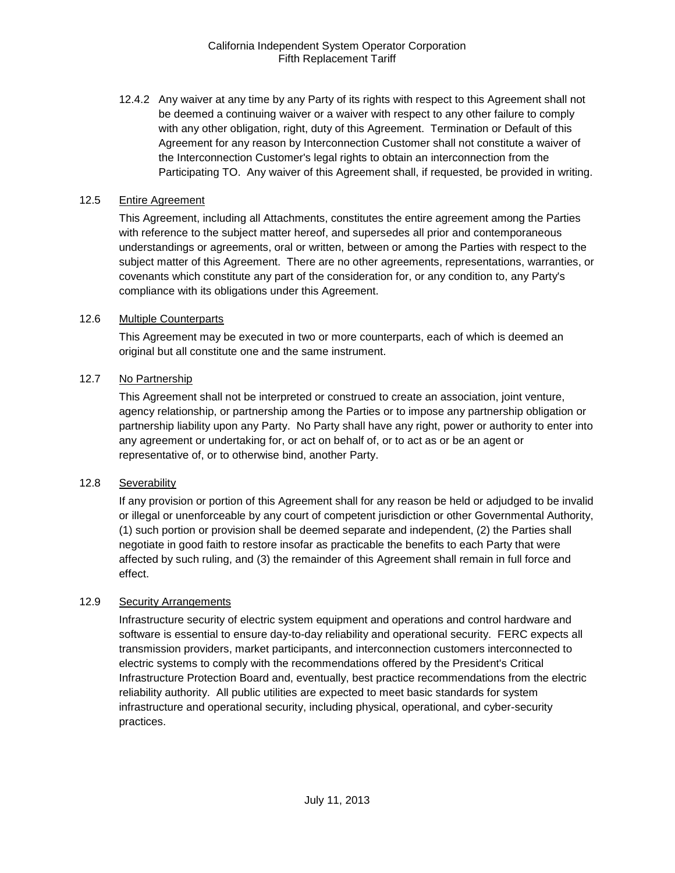12.4.2 Any waiver at any time by any Party of its rights with respect to this Agreement shall not be deemed a continuing waiver or a waiver with respect to any other failure to comply with any other obligation, right, duty of this Agreement. Termination or Default of this Agreement for any reason by Interconnection Customer shall not constitute a waiver of the Interconnection Customer's legal rights to obtain an interconnection from the Participating TO. Any waiver of this Agreement shall, if requested, be provided in writing.

#### <span id="page-24-0"></span>12.5 Entire Agreement

This Agreement, including all Attachments, constitutes the entire agreement among the Parties with reference to the subject matter hereof, and supersedes all prior and contemporaneous understandings or agreements, oral or written, between or among the Parties with respect to the subject matter of this Agreement. There are no other agreements, representations, warranties, or covenants which constitute any part of the consideration for, or any condition to, any Party's compliance with its obligations under this Agreement.

## <span id="page-24-1"></span>12.6 Multiple Counterparts

This Agreement may be executed in two or more counterparts, each of which is deemed an original but all constitute one and the same instrument.

### <span id="page-24-2"></span>12.7 No Partnership

This Agreement shall not be interpreted or construed to create an association, joint venture, agency relationship, or partnership among the Parties or to impose any partnership obligation or partnership liability upon any Party. No Party shall have any right, power or authority to enter into any agreement or undertaking for, or act on behalf of, or to act as or be an agent or representative of, or to otherwise bind, another Party.

#### <span id="page-24-3"></span>12.8 Severability

If any provision or portion of this Agreement shall for any reason be held or adjudged to be invalid or illegal or unenforceable by any court of competent jurisdiction or other Governmental Authority, (1) such portion or provision shall be deemed separate and independent, (2) the Parties shall negotiate in good faith to restore insofar as practicable the benefits to each Party that were affected by such ruling, and (3) the remainder of this Agreement shall remain in full force and effect.

#### <span id="page-24-4"></span>12.9 Security Arrangements

Infrastructure security of electric system equipment and operations and control hardware and software is essential to ensure day-to-day reliability and operational security. FERC expects all transmission providers, market participants, and interconnection customers interconnected to electric systems to comply with the recommendations offered by the President's Critical Infrastructure Protection Board and, eventually, best practice recommendations from the electric reliability authority. All public utilities are expected to meet basic standards for system infrastructure and operational security, including physical, operational, and cyber-security practices.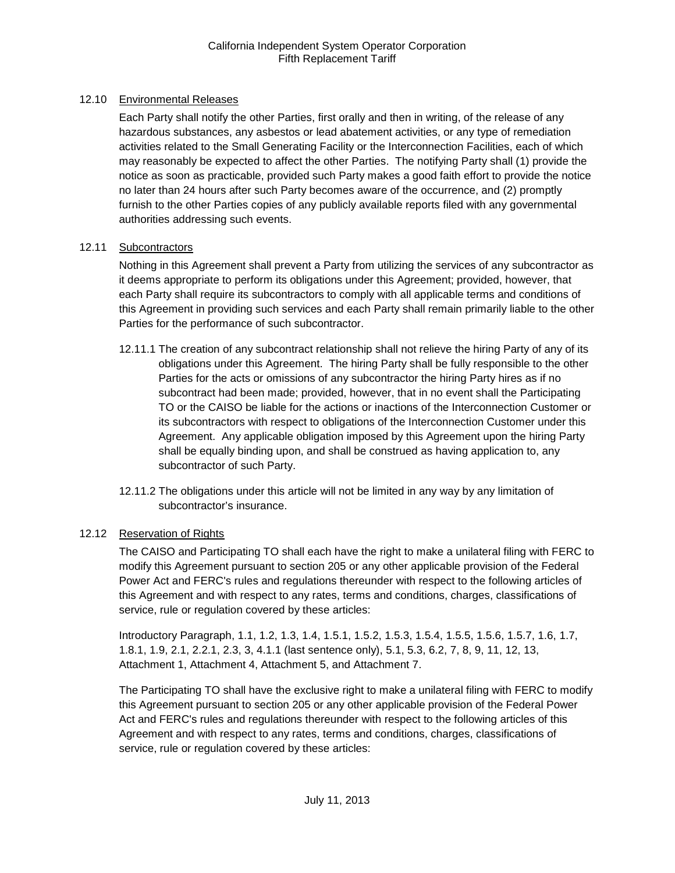## <span id="page-25-0"></span>12.10 Environmental Releases

Each Party shall notify the other Parties, first orally and then in writing, of the release of any hazardous substances, any asbestos or lead abatement activities, or any type of remediation activities related to the Small Generating Facility or the Interconnection Facilities, each of which may reasonably be expected to affect the other Parties. The notifying Party shall (1) provide the notice as soon as practicable, provided such Party makes a good faith effort to provide the notice no later than 24 hours after such Party becomes aware of the occurrence, and (2) promptly furnish to the other Parties copies of any publicly available reports filed with any governmental authorities addressing such events.

### <span id="page-25-1"></span>12.11 Subcontractors

Nothing in this Agreement shall prevent a Party from utilizing the services of any subcontractor as it deems appropriate to perform its obligations under this Agreement; provided, however, that each Party shall require its subcontractors to comply with all applicable terms and conditions of this Agreement in providing such services and each Party shall remain primarily liable to the other Parties for the performance of such subcontractor.

- 12.11.1 The creation of any subcontract relationship shall not relieve the hiring Party of any of its obligations under this Agreement. The hiring Party shall be fully responsible to the other Parties for the acts or omissions of any subcontractor the hiring Party hires as if no subcontract had been made; provided, however, that in no event shall the Participating TO or the CAISO be liable for the actions or inactions of the Interconnection Customer or its subcontractors with respect to obligations of the Interconnection Customer under this Agreement. Any applicable obligation imposed by this Agreement upon the hiring Party shall be equally binding upon, and shall be construed as having application to, any subcontractor of such Party.
- 12.11.2 The obligations under this article will not be limited in any way by any limitation of subcontractor's insurance.

## <span id="page-25-2"></span>12.12 Reservation of Rights

The CAISO and Participating TO shall each have the right to make a unilateral filing with FERC to modify this Agreement pursuant to section 205 or any other applicable provision of the Federal Power Act and FERC's rules and regulations thereunder with respect to the following articles of this Agreement and with respect to any rates, terms and conditions, charges, classifications of service, rule or regulation covered by these articles:

Introductory Paragraph, 1.1, 1.2, 1.3, 1.4, 1.5.1, 1.5.2, 1.5.3, 1.5.4, 1.5.5, 1.5.6, 1.5.7, 1.6, 1.7, 1.8.1, 1.9, 2.1, 2.2.1, 2.3, 3, 4.1.1 (last sentence only), 5.1, 5.3, 6.2, 7, 8, 9, 11, 12, 13, Attachment 1, Attachment 4, Attachment 5, and Attachment 7.

The Participating TO shall have the exclusive right to make a unilateral filing with FERC to modify this Agreement pursuant to section 205 or any other applicable provision of the Federal Power Act and FERC's rules and regulations thereunder with respect to the following articles of this Agreement and with respect to any rates, terms and conditions, charges, classifications of service, rule or regulation covered by these articles: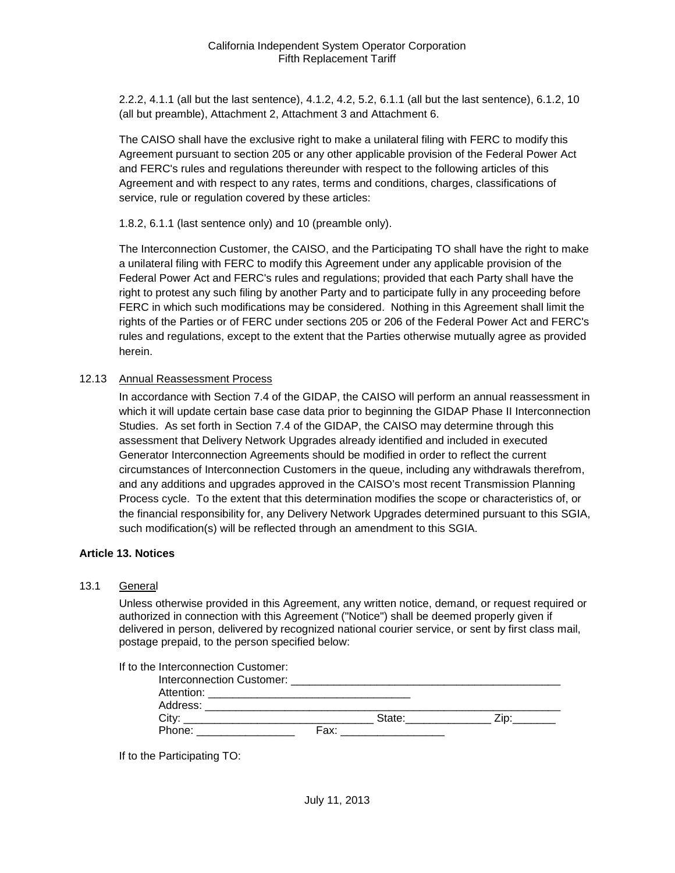2.2.2, 4.1.1 (all but the last sentence), 4.1.2, 4.2, 5.2, 6.1.1 (all but the last sentence), 6.1.2, 10 (all but preamble), Attachment 2, Attachment 3 and Attachment 6.

The CAISO shall have the exclusive right to make a unilateral filing with FERC to modify this Agreement pursuant to section 205 or any other applicable provision of the Federal Power Act and FERC's rules and regulations thereunder with respect to the following articles of this Agreement and with respect to any rates, terms and conditions, charges, classifications of service, rule or regulation covered by these articles:

1.8.2, 6.1.1 (last sentence only) and 10 (preamble only).

The Interconnection Customer, the CAISO, and the Participating TO shall have the right to make a unilateral filing with FERC to modify this Agreement under any applicable provision of the Federal Power Act and FERC's rules and regulations; provided that each Party shall have the right to protest any such filing by another Party and to participate fully in any proceeding before FERC in which such modifications may be considered. Nothing in this Agreement shall limit the rights of the Parties or of FERC under sections 205 or 206 of the Federal Power Act and FERC's rules and regulations, except to the extent that the Parties otherwise mutually agree as provided herein.

#### <span id="page-26-0"></span>12.13 Annual Reassessment Process

In accordance with Section 7.4 of the GIDAP, the CAISO will perform an annual reassessment in which it will update certain base case data prior to beginning the GIDAP Phase II Interconnection Studies. As set forth in Section 7.4 of the GIDAP, the CAISO may determine through this assessment that Delivery Network Upgrades already identified and included in executed Generator Interconnection Agreements should be modified in order to reflect the current circumstances of Interconnection Customers in the queue, including any withdrawals therefrom, and any additions and upgrades approved in the CAISO's most recent Transmission Planning Process cycle. To the extent that this determination modifies the scope or characteristics of, or the financial responsibility for, any Delivery Network Upgrades determined pursuant to this SGIA, such modification(s) will be reflected through an amendment to this SGIA.

#### <span id="page-26-1"></span>**Article 13. Notices**

#### <span id="page-26-2"></span>13.1 General

Unless otherwise provided in this Agreement, any written notice, demand, or request required or authorized in connection with this Agreement ("Notice") shall be deemed properly given if delivered in person, delivered by recognized national courier service, or sent by first class mail, postage prepaid, to the person specified below:

| If to the Interconnection Customer:<br>Interconnection Customer: ______________                                                    |      |        |      |
|------------------------------------------------------------------------------------------------------------------------------------|------|--------|------|
| Attention:<br><u> 1980 - Jan Barat, martxar a shekara tshkollari ta 1980 ha shekara tshkollari ta 1980 ha shekara tshkollari t</u> |      |        |      |
| Address:                                                                                                                           |      |        |      |
| City:                                                                                                                              |      | State: | ∠ip: |
| Phone:                                                                                                                             | Fax: |        |      |

If to the Participating TO: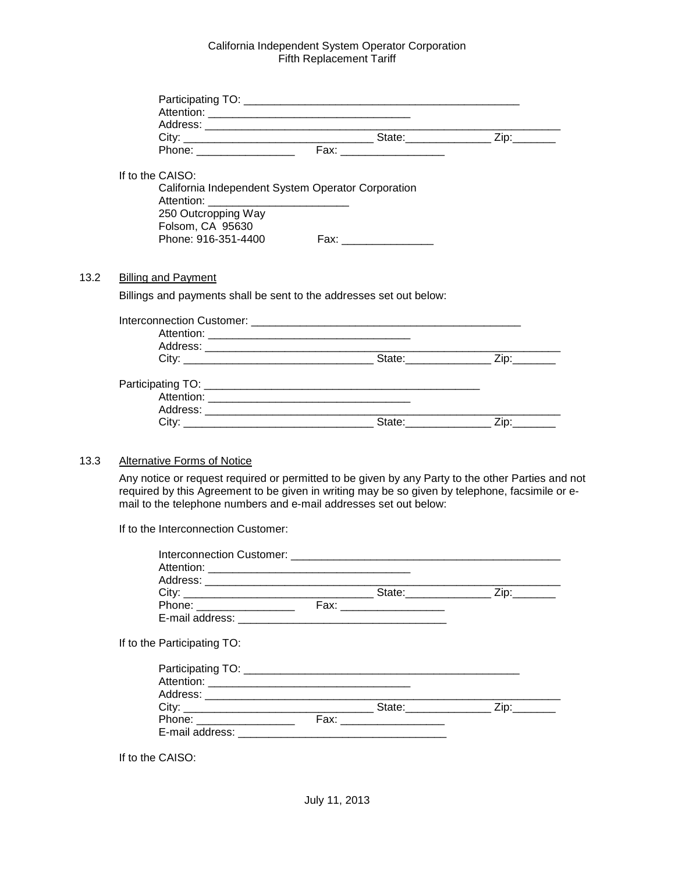| If to the CAISO:           |                                                                     |  |
|----------------------------|---------------------------------------------------------------------|--|
|                            | California Independent System Operator Corporation                  |  |
|                            |                                                                     |  |
| 250 Outcropping Way        |                                                                     |  |
| Folsom, CA 95630           |                                                                     |  |
| Phone: 916-351-4400        | Fax: __________________                                             |  |
|                            |                                                                     |  |
| <b>Billing and Payment</b> |                                                                     |  |
|                            | Billings and payments shall be sent to the addresses set out below: |  |
|                            |                                                                     |  |
|                            |                                                                     |  |
|                            |                                                                     |  |
|                            |                                                                     |  |
|                            |                                                                     |  |
|                            |                                                                     |  |
|                            |                                                                     |  |
|                            |                                                                     |  |
|                            |                                                                     |  |

#### <span id="page-27-1"></span>13.3 Alternative Forms of Notice

<span id="page-27-0"></span> $13.2$ 

Any notice or request required or permitted to be given by any Party to the other Parties and not required by this Agreement to be given in writing may be so given by telephone, facsimile or email to the telephone numbers and e-mail addresses set out below:

If to the Interconnection Customer:

| If to the Participating TO: |  |  |
|-----------------------------|--|--|
|                             |  |  |
|                             |  |  |
|                             |  |  |
|                             |  |  |
| Phone: __________________   |  |  |
|                             |  |  |

If to the CAISO: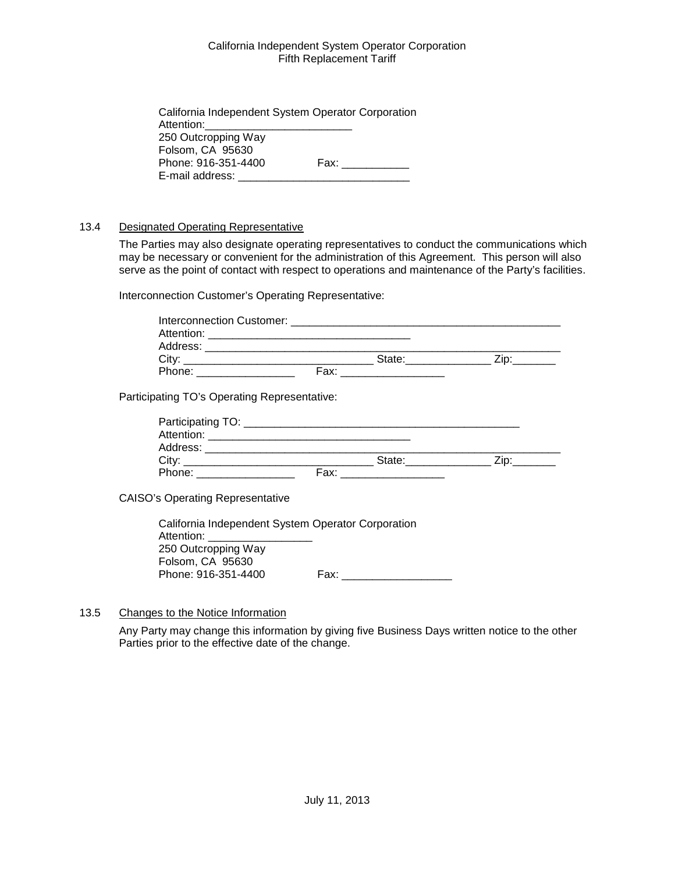| California Independent System Operator Corporation |                |
|----------------------------------------------------|----------------|
| Attention: <b>Attention</b>                        |                |
| 250 Outcropping Way                                |                |
| Folsom, CA 95630                                   |                |
| Phone: 916-351-4400                                | Fax: _________ |
| E-mail address:                                    |                |

## <span id="page-28-0"></span>13.4 Designated Operating Representative

The Parties may also designate operating representatives to conduct the communications which may be necessary or convenient for the administration of this Agreement. This person will also serve as the point of contact with respect to operations and maintenance of the Party's facilities.

Interconnection Customer's Operating Representative:

| Phone: ____________________                  |  |  |
|----------------------------------------------|--|--|
|                                              |  |  |
| Participating TO's Operating Representative: |  |  |
|                                              |  |  |
|                                              |  |  |

CAISO's Operating Representative

| California Independent System Operator Corporation |      |
|----------------------------------------------------|------|
| Attention:                                         |      |
| 250 Outcropping Way                                |      |
| Folsom, CA 95630                                   |      |
| Phone: 916-351-4400                                | Fax: |

#### <span id="page-28-1"></span>13.5 Changes to the Notice Information

Any Party may change this information by giving five Business Days written notice to the other Parties prior to the effective date of the change.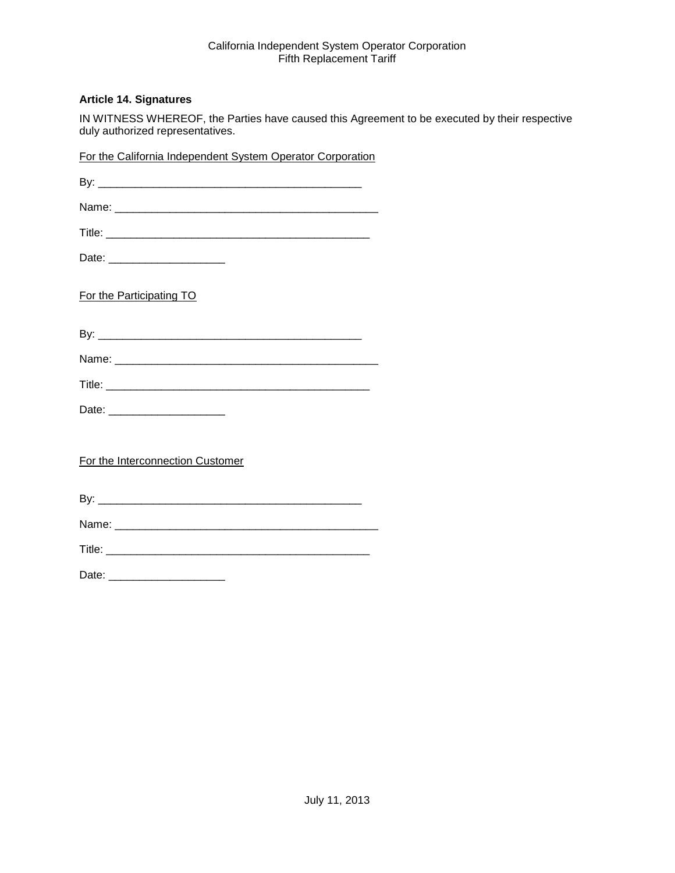#### <span id="page-29-0"></span>**Article 14. Signatures**

IN WITNESS WHEREOF, the Parties have caused this Agreement to be executed by their respective duly authorized representatives.

| For the California Independent System Operator Corporation |  |
|------------------------------------------------------------|--|
|                                                            |  |
|                                                            |  |
|                                                            |  |
| Date: ________________________                             |  |
| For the Participating TO                                   |  |
|                                                            |  |
|                                                            |  |
|                                                            |  |
|                                                            |  |
| For the Interconnection Customer                           |  |
|                                                            |  |
|                                                            |  |
|                                                            |  |
| Date: ________________________                             |  |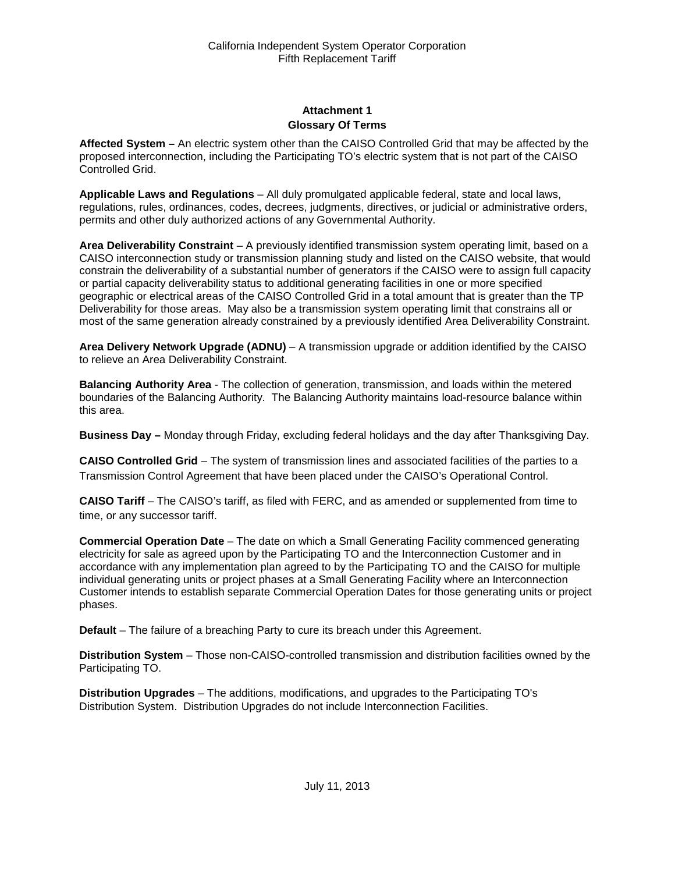## **Attachment 1 Glossary Of Terms**

<span id="page-30-1"></span><span id="page-30-0"></span>**Affected System –** An electric system other than the CAISO Controlled Grid that may be affected by the proposed interconnection, including the Participating TO's electric system that is not part of the CAISO Controlled Grid.

**Applicable Laws and Regulations** – All duly promulgated applicable federal, state and local laws, regulations, rules, ordinances, codes, decrees, judgments, directives, or judicial or administrative orders, permits and other duly authorized actions of any Governmental Authority.

**Area Deliverability Constraint** – A previously identified transmission system operating limit, based on a CAISO interconnection study or transmission planning study and listed on the CAISO website, that would constrain the deliverability of a substantial number of generators if the CAISO were to assign full capacity or partial capacity deliverability status to additional generating facilities in one or more specified geographic or electrical areas of the CAISO Controlled Grid in a total amount that is greater than the TP Deliverability for those areas. May also be a transmission system operating limit that constrains all or most of the same generation already constrained by a previously identified Area Deliverability Constraint.

**Area Delivery Network Upgrade (ADNU)** – A transmission upgrade or addition identified by the CAISO to relieve an Area Deliverability Constraint.

**Balancing Authority Area** - The collection of generation, transmission, and loads within the metered boundaries of the Balancing Authority. The Balancing Authority maintains load-resource balance within this area.

**Business Day –** Monday through Friday, excluding federal holidays and the day after Thanksgiving Day.

**CAISO Controlled Grid** – The system of transmission lines and associated facilities of the parties to a Transmission Control Agreement that have been placed under the CAISO's Operational Control.

**CAISO Tariff** – The CAISO's tariff, as filed with FERC, and as amended or supplemented from time to time, or any successor tariff.

**Commercial Operation Date** – The date on which a Small Generating Facility commenced generating electricity for sale as agreed upon by the Participating TO and the Interconnection Customer and in accordance with any implementation plan agreed to by the Participating TO and the CAISO for multiple individual generating units or project phases at a Small Generating Facility where an Interconnection Customer intends to establish separate Commercial Operation Dates for those generating units or project phases.

**Default** – The failure of a breaching Party to cure its breach under this Agreement.

**Distribution System** – Those non-CAISO-controlled transmission and distribution facilities owned by the Participating TO.

**Distribution Upgrades** – The additions, modifications, and upgrades to the Participating TO's Distribution System. Distribution Upgrades do not include Interconnection Facilities.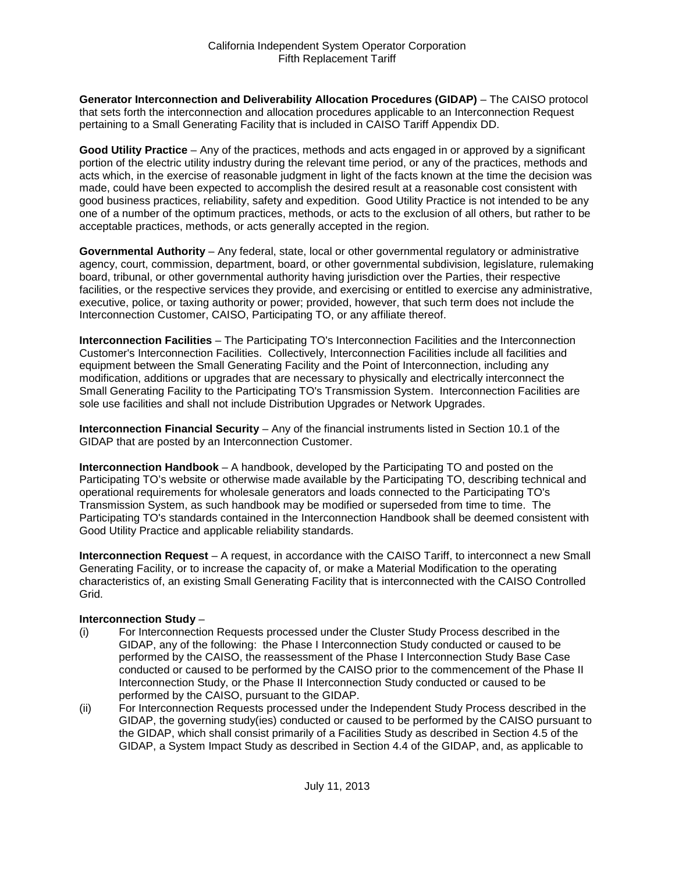**Generator Interconnection and Deliverability Allocation Procedures (GIDAP)** – The CAISO protocol that sets forth the interconnection and allocation procedures applicable to an Interconnection Request pertaining to a Small Generating Facility that is included in CAISO Tariff Appendix DD.

**Good Utility Practice** – Any of the practices, methods and acts engaged in or approved by a significant portion of the electric utility industry during the relevant time period, or any of the practices, methods and acts which, in the exercise of reasonable judgment in light of the facts known at the time the decision was made, could have been expected to accomplish the desired result at a reasonable cost consistent with good business practices, reliability, safety and expedition. Good Utility Practice is not intended to be any one of a number of the optimum practices, methods, or acts to the exclusion of all others, but rather to be acceptable practices, methods, or acts generally accepted in the region.

**Governmental Authority** – Any federal, state, local or other governmental regulatory or administrative agency, court, commission, department, board, or other governmental subdivision, legislature, rulemaking board, tribunal, or other governmental authority having jurisdiction over the Parties, their respective facilities, or the respective services they provide, and exercising or entitled to exercise any administrative, executive, police, or taxing authority or power; provided, however, that such term does not include the Interconnection Customer, CAISO, Participating TO, or any affiliate thereof.

**Interconnection Facilities** – The Participating TO's Interconnection Facilities and the Interconnection Customer's Interconnection Facilities. Collectively, Interconnection Facilities include all facilities and equipment between the Small Generating Facility and the Point of Interconnection, including any modification, additions or upgrades that are necessary to physically and electrically interconnect the Small Generating Facility to the Participating TO's Transmission System. Interconnection Facilities are sole use facilities and shall not include Distribution Upgrades or Network Upgrades.

**Interconnection Financial Security** – Any of the financial instruments listed in Section 10.1 of the GIDAP that are posted by an Interconnection Customer.

**Interconnection Handbook** – A handbook, developed by the Participating TO and posted on the Participating TO's website or otherwise made available by the Participating TO, describing technical and operational requirements for wholesale generators and loads connected to the Participating TO's Transmission System, as such handbook may be modified or superseded from time to time. The Participating TO's standards contained in the Interconnection Handbook shall be deemed consistent with Good Utility Practice and applicable reliability standards.

**Interconnection Request** – A request, in accordance with the CAISO Tariff, to interconnect a new Small Generating Facility, or to increase the capacity of, or make a Material Modification to the operating characteristics of, an existing Small Generating Facility that is interconnected with the CAISO Controlled Grid.

#### **Interconnection Study** –

- (i) For Interconnection Requests processed under the Cluster Study Process described in the GIDAP, any of the following: the Phase I Interconnection Study conducted or caused to be performed by the CAISO, the reassessment of the Phase I Interconnection Study Base Case conducted or caused to be performed by the CAISO prior to the commencement of the Phase II Interconnection Study, or the Phase II Interconnection Study conducted or caused to be performed by the CAISO, pursuant to the GIDAP.
- (ii) For Interconnection Requests processed under the Independent Study Process described in the GIDAP, the governing study(ies) conducted or caused to be performed by the CAISO pursuant to the GIDAP, which shall consist primarily of a Facilities Study as described in Section 4.5 of the GIDAP, a System Impact Study as described in Section 4.4 of the GIDAP, and, as applicable to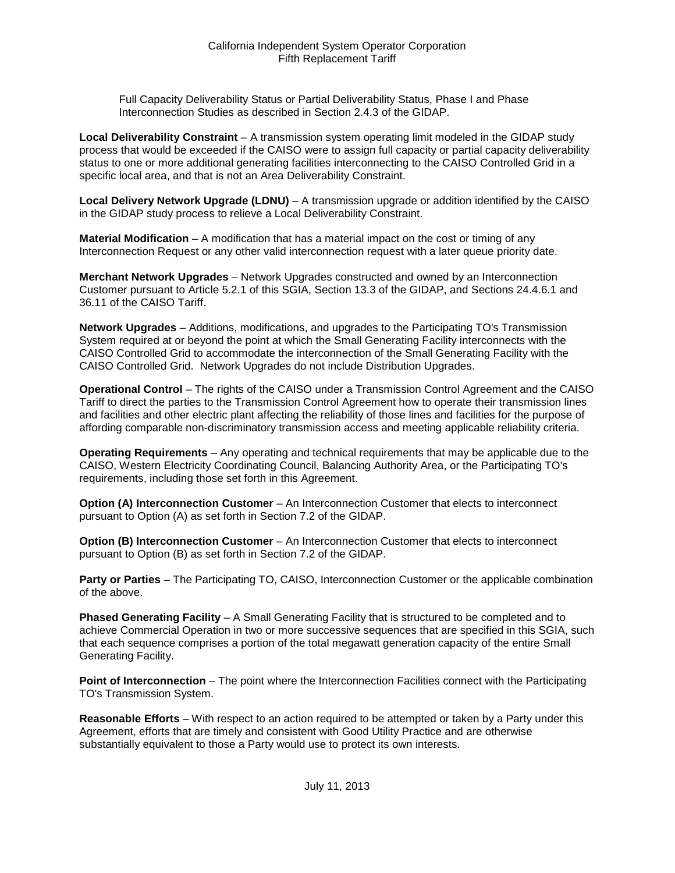Full Capacity Deliverability Status or Partial Deliverability Status, Phase I and Phase Interconnection Studies as described in Section 2.4.3 of the GIDAP.

**Local Deliverability Constraint** – A transmission system operating limit modeled in the GIDAP study process that would be exceeded if the CAISO were to assign full capacity or partial capacity deliverability status to one or more additional generating facilities interconnecting to the CAISO Controlled Grid in a specific local area, and that is not an Area Deliverability Constraint.

**Local Delivery Network Upgrade (LDNU)** – A transmission upgrade or addition identified by the CAISO in the GIDAP study process to relieve a Local Deliverability Constraint.

**Material Modification** – A modification that has a material impact on the cost or timing of any Interconnection Request or any other valid interconnection request with a later queue priority date.

**Merchant Network Upgrades** – Network Upgrades constructed and owned by an Interconnection Customer pursuant to Article 5.2.1 of this SGIA, Section 13.3 of the GIDAP, and Sections 24.4.6.1 and 36.11 of the CAISO Tariff.

**Network Upgrades** – Additions, modifications, and upgrades to the Participating TO's Transmission System required at or beyond the point at which the Small Generating Facility interconnects with the CAISO Controlled Grid to accommodate the interconnection of the Small Generating Facility with the CAISO Controlled Grid. Network Upgrades do not include Distribution Upgrades.

**Operational Control** – The rights of the CAISO under a Transmission Control Agreement and the CAISO Tariff to direct the parties to the Transmission Control Agreement how to operate their transmission lines and facilities and other electric plant affecting the reliability of those lines and facilities for the purpose of affording comparable non-discriminatory transmission access and meeting applicable reliability criteria.

**Operating Requirements** – Any operating and technical requirements that may be applicable due to the CAISO, Western Electricity Coordinating Council, Balancing Authority Area, or the Participating TO's requirements, including those set forth in this Agreement.

**Option (A) Interconnection Customer** – An Interconnection Customer that elects to interconnect pursuant to Option (A) as set forth in Section 7.2 of the GIDAP.

**Option (B) Interconnection Customer** – An Interconnection Customer that elects to interconnect pursuant to Option (B) as set forth in Section 7.2 of the GIDAP.

**Party or Parties** – The Participating TO, CAISO, Interconnection Customer or the applicable combination of the above.

**Phased Generating Facility** – A Small Generating Facility that is structured to be completed and to achieve Commercial Operation in two or more successive sequences that are specified in this SGIA, such that each sequence comprises a portion of the total megawatt generation capacity of the entire Small Generating Facility.

**Point of Interconnection** – The point where the Interconnection Facilities connect with the Participating TO's Transmission System.

**Reasonable Efforts** – With respect to an action required to be attempted or taken by a Party under this Agreement, efforts that are timely and consistent with Good Utility Practice and are otherwise substantially equivalent to those a Party would use to protect its own interests.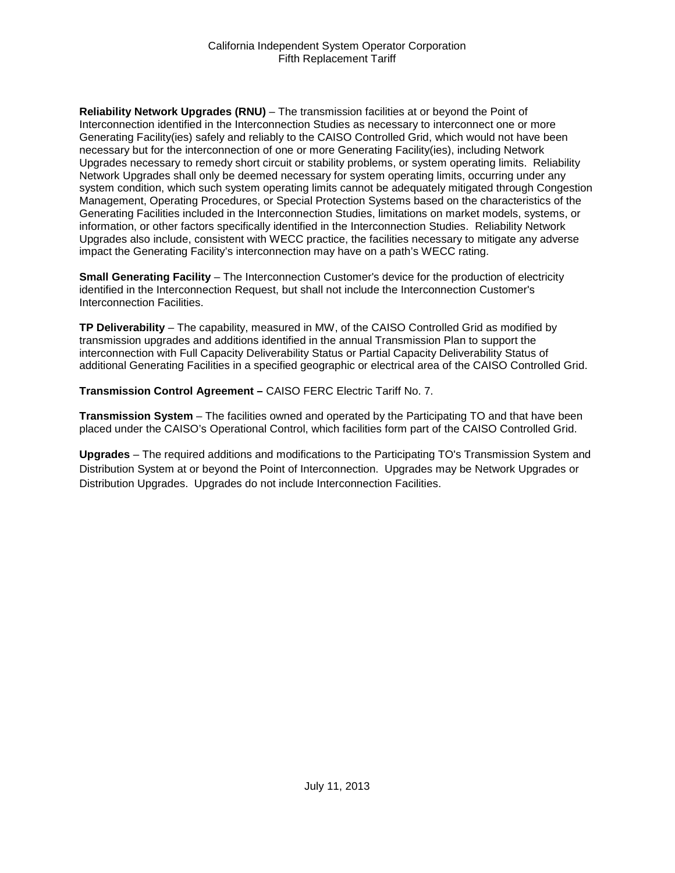**Reliability Network Upgrades (RNU)** – The transmission facilities at or beyond the Point of Interconnection identified in the Interconnection Studies as necessary to interconnect one or more Generating Facility(ies) safely and reliably to the CAISO Controlled Grid, which would not have been necessary but for the interconnection of one or more Generating Facility(ies), including Network Upgrades necessary to remedy short circuit or stability problems, or system operating limits. Reliability Network Upgrades shall only be deemed necessary for system operating limits, occurring under any system condition, which such system operating limits cannot be adequately mitigated through Congestion Management, Operating Procedures, or Special Protection Systems based on the characteristics of the Generating Facilities included in the Interconnection Studies, limitations on market models, systems, or information, or other factors specifically identified in the Interconnection Studies. Reliability Network Upgrades also include, consistent with WECC practice, the facilities necessary to mitigate any adverse impact the Generating Facility's interconnection may have on a path's WECC rating.

**Small Generating Facility** – The Interconnection Customer's device for the production of electricity identified in the Interconnection Request, but shall not include the Interconnection Customer's Interconnection Facilities.

**TP Deliverability** – The capability, measured in MW, of the CAISO Controlled Grid as modified by transmission upgrades and additions identified in the annual Transmission Plan to support the interconnection with Full Capacity Deliverability Status or Partial Capacity Deliverability Status of additional Generating Facilities in a specified geographic or electrical area of the CAISO Controlled Grid.

**Transmission Control Agreement –** CAISO FERC Electric Tariff No. 7.

**Transmission System** – The facilities owned and operated by the Participating TO and that have been placed under the CAISO's Operational Control, which facilities form part of the CAISO Controlled Grid.

**Upgrades** – The required additions and modifications to the Participating TO's Transmission System and Distribution System at or beyond the Point of Interconnection. Upgrades may be Network Upgrades or Distribution Upgrades. Upgrades do not include Interconnection Facilities.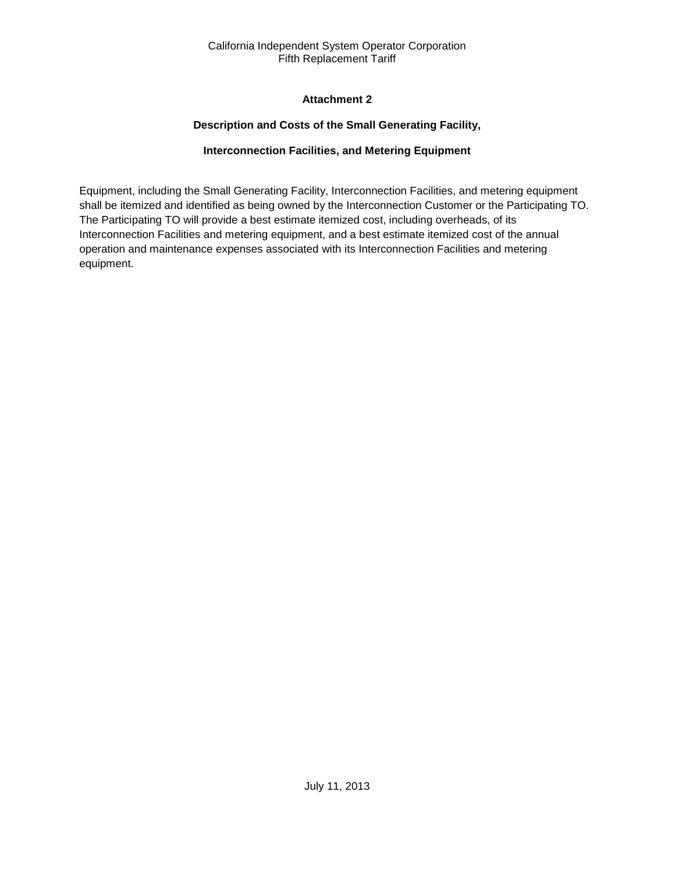## **Attachment 2**

## **Description and Costs of the Small Generating Facility,**

## **Interconnection Facilities, and Metering Equipment**

<span id="page-34-2"></span><span id="page-34-1"></span><span id="page-34-0"></span>Equipment, including the Small Generating Facility, Interconnection Facilities, and metering equipment shall be itemized and identified as being owned by the Interconnection Customer or the Participating TO. The Participating TO will provide a best estimate itemized cost, including overheads, of its Interconnection Facilities and metering equipment, and a best estimate itemized cost of the annual operation and maintenance expenses associated with its Interconnection Facilities and metering equipment.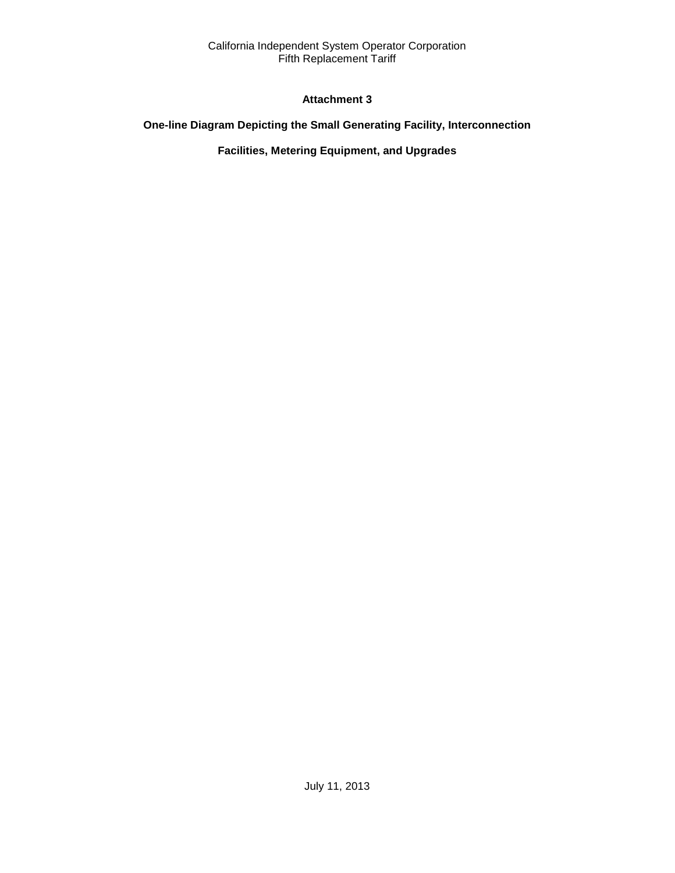## **Attachment 3**

## <span id="page-35-2"></span><span id="page-35-1"></span><span id="page-35-0"></span>**One-line Diagram Depicting the Small Generating Facility, Interconnection**

## **Facilities, Metering Equipment, and Upgrades**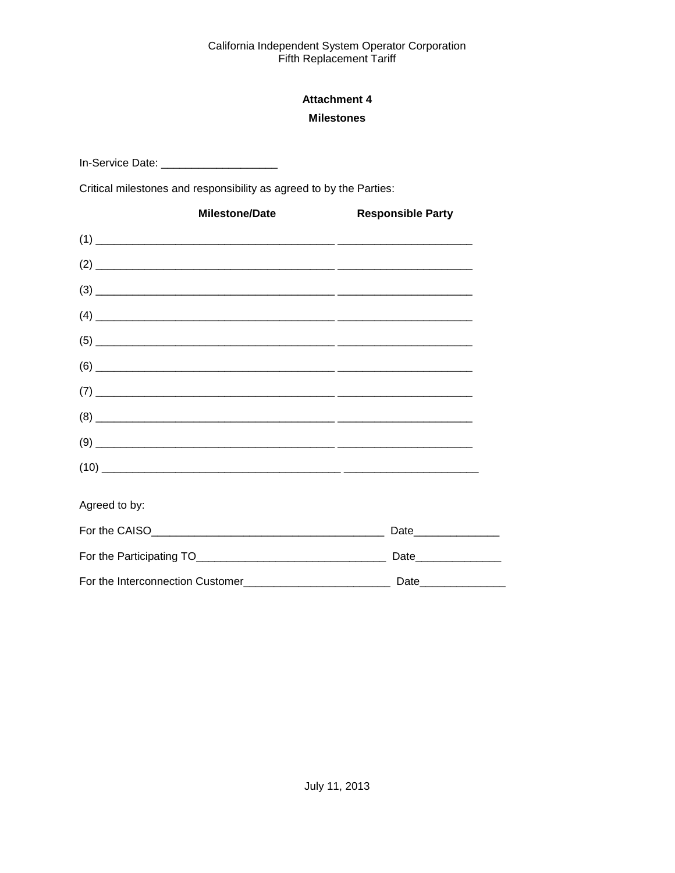## **Attachment 4 Milestones**

<span id="page-36-1"></span><span id="page-36-0"></span>In-Service Date: \_\_\_\_\_\_\_\_\_\_\_\_\_\_\_\_\_\_\_\_\_\_\_\_\_\_

Critical milestones and responsibility as agreed to by the Parties:

| <b>Milestone/Date</b> | <b>Responsible Party</b> |
|-----------------------|--------------------------|
|                       |                          |
|                       |                          |
|                       |                          |
|                       |                          |
|                       |                          |
|                       |                          |
|                       |                          |
|                       |                          |
|                       |                          |
|                       |                          |
| Agreed to by:         |                          |
|                       | Date________________     |
|                       | Date________________     |
|                       |                          |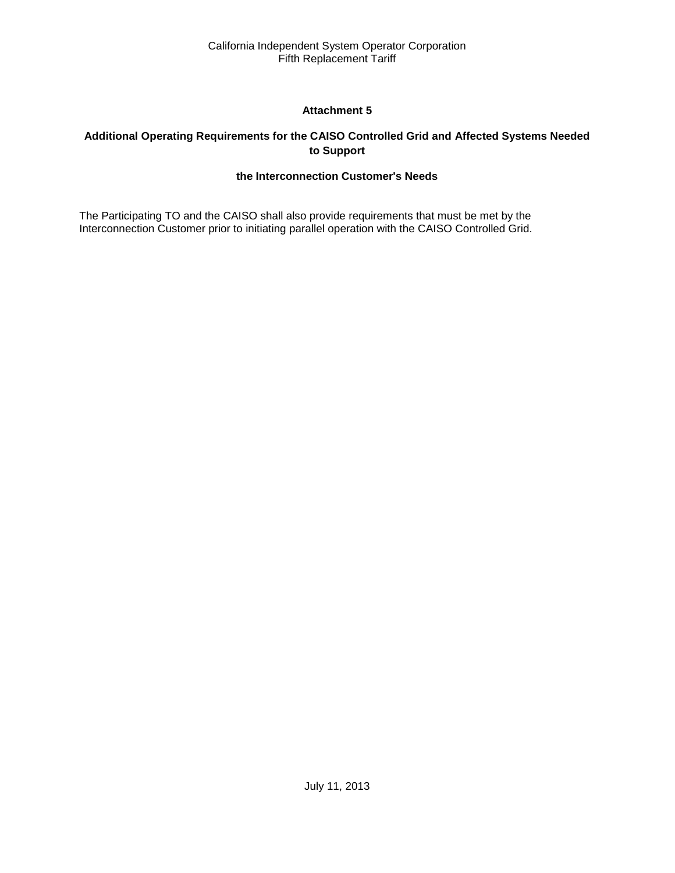## **Attachment 5**

## <span id="page-37-2"></span><span id="page-37-1"></span><span id="page-37-0"></span>**Additional Operating Requirements for the CAISO Controlled Grid and Affected Systems Needed to Support**

### **the Interconnection Customer's Needs**

The Participating TO and the CAISO shall also provide requirements that must be met by the Interconnection Customer prior to initiating parallel operation with the CAISO Controlled Grid.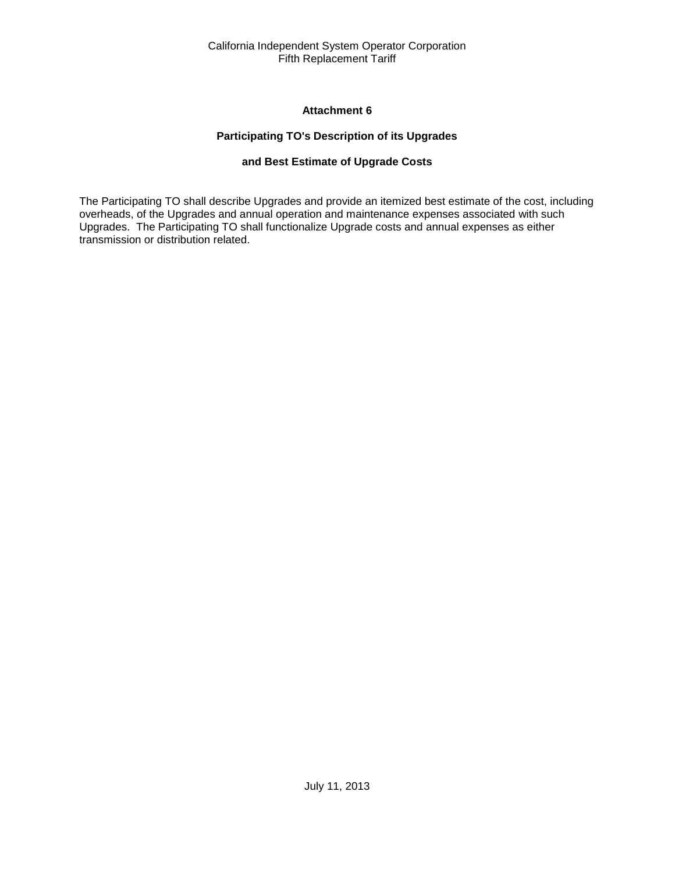### **Attachment 6**

### **Participating TO's Description of its Upgrades**

### **and Best Estimate of Upgrade Costs**

<span id="page-38-2"></span><span id="page-38-1"></span><span id="page-38-0"></span>The Participating TO shall describe Upgrades and provide an itemized best estimate of the cost, including overheads, of the Upgrades and annual operation and maintenance expenses associated with such Upgrades. The Participating TO shall functionalize Upgrade costs and annual expenses as either transmission or distribution related.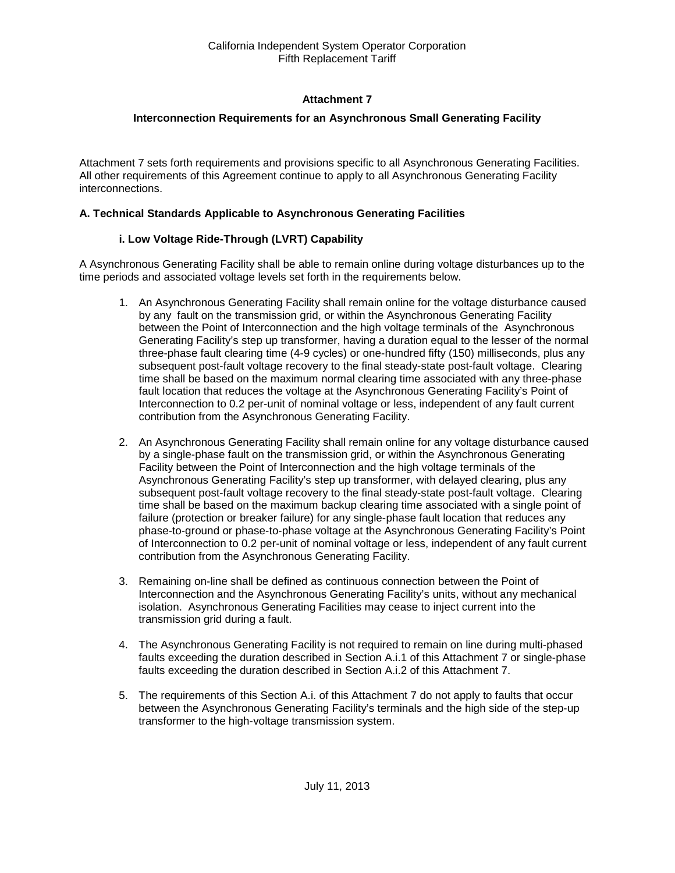## **Attachment 7**

### <span id="page-39-0"></span>**Interconnection Requirements for an Asynchronous Small Generating Facility**

<span id="page-39-1"></span>Attachment 7 sets forth requirements and provisions specific to all Asynchronous Generating Facilities. All other requirements of this Agreement continue to apply to all Asynchronous Generating Facility interconnections.

#### **A. Technical Standards Applicable to Asynchronous Generating Facilities**

### **i. Low Voltage Ride-Through (LVRT) Capability**

A Asynchronous Generating Facility shall be able to remain online during voltage disturbances up to the time periods and associated voltage levels set forth in the requirements below.

- 1. An Asynchronous Generating Facility shall remain online for the voltage disturbance caused by any fault on the transmission grid, or within the Asynchronous Generating Facility between the Point of Interconnection and the high voltage terminals of the Asynchronous Generating Facility's step up transformer, having a duration equal to the lesser of the normal three-phase fault clearing time (4-9 cycles) or one-hundred fifty (150) milliseconds, plus any subsequent post-fault voltage recovery to the final steady-state post-fault voltage. Clearing time shall be based on the maximum normal clearing time associated with any three-phase fault location that reduces the voltage at the Asynchronous Generating Facility's Point of Interconnection to 0.2 per-unit of nominal voltage or less, independent of any fault current contribution from the Asynchronous Generating Facility.
- 2. An Asynchronous Generating Facility shall remain online for any voltage disturbance caused by a single-phase fault on the transmission grid, or within the Asynchronous Generating Facility between the Point of Interconnection and the high voltage terminals of the Asynchronous Generating Facility's step up transformer, with delayed clearing, plus any subsequent post-fault voltage recovery to the final steady-state post-fault voltage. Clearing time shall be based on the maximum backup clearing time associated with a single point of failure (protection or breaker failure) for any single-phase fault location that reduces any phase-to-ground or phase-to-phase voltage at the Asynchronous Generating Facility's Point of Interconnection to 0.2 per-unit of nominal voltage or less, independent of any fault current contribution from the Asynchronous Generating Facility.
- 3. Remaining on-line shall be defined as continuous connection between the Point of Interconnection and the Asynchronous Generating Facility's units, without any mechanical isolation. Asynchronous Generating Facilities may cease to inject current into the transmission grid during a fault.
- 4. The Asynchronous Generating Facility is not required to remain on line during multi-phased faults exceeding the duration described in Section A.i.1 of this Attachment 7 or single-phase faults exceeding the duration described in Section A.i.2 of this Attachment 7.
- 5. The requirements of this Section A.i. of this Attachment 7 do not apply to faults that occur between the Asynchronous Generating Facility's terminals and the high side of the step-up transformer to the high-voltage transmission system.